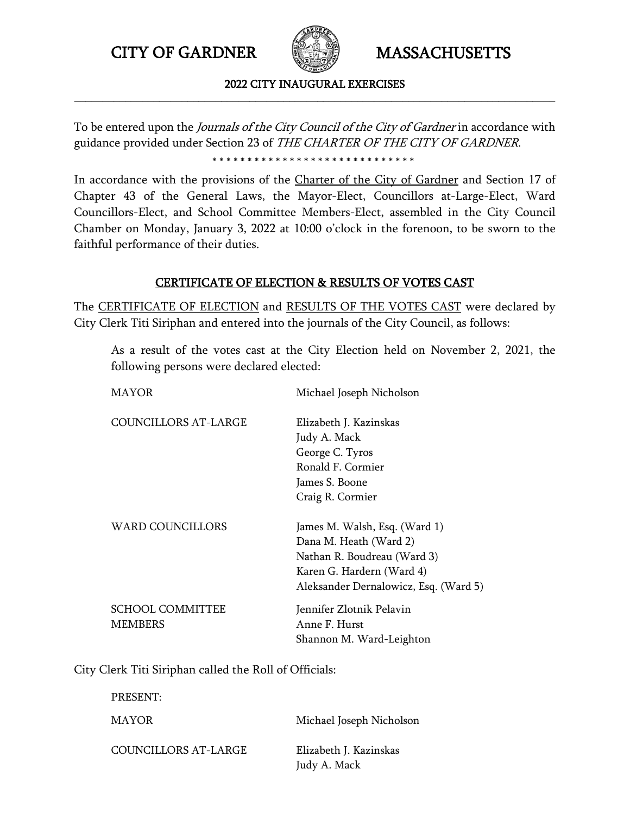

### 2022 CITY INAUGURAL EXERCISES **\_\_\_\_\_\_\_\_\_\_\_\_\_\_\_\_\_\_\_\_\_\_\_\_\_\_\_\_\_\_\_\_\_\_\_\_\_\_\_\_\_\_\_\_\_\_\_\_\_\_\_\_\_\_\_\_\_\_\_\_\_\_\_\_\_\_\_\_\_\_\_\_\_\_\_\_\_\_\_\_\_\_\_\_\_**

To be entered upon the Journals of the City Council of the City of Gardner in accordance with guidance provided under Section 23 of THE CHARTER OF THE CITY OF GARDNER. \*\*\*\*\*\*\*\*\*\*\*\*\*\*\*\*\*\*\*\*\*\*\*\*\*\*\*\*\*

In accordance with the provisions of the Charter of the City of Gardner and Section 17 of Chapter 43 of the General Laws, the Mayor-Elect, Councillors at-Large-Elect, Ward Councillors-Elect, and School Committee Members-Elect, assembled in the City Council Chamber on Monday, January 3, 2022 at 10:00 o'clock in the forenoon, to be sworn to the faithful performance of their duties.

## CERTIFICATE OF ELECTION & RESULTS OF VOTES CAST

The CERTIFICATE OF ELECTION and RESULTS OF THE VOTES CAST were declared by City Clerk Titi Siriphan and entered into the journals of the City Council, as follows:

As a result of the votes cast at the City Election held on November 2, 2021, the following persons were declared elected:

| MAYOR                       | Michael Joseph Nicholson              |
|-----------------------------|---------------------------------------|
| <b>COUNCILLORS AT-LARGE</b> | Elizabeth J. Kazinskas                |
|                             | Judy A. Mack                          |
|                             | George C. Tyros                       |
|                             | Ronald F. Cormier                     |
|                             | James S. Boone                        |
|                             | Craig R. Cormier                      |
| <b>WARD COUNCILLORS</b>     | James M. Walsh, Esq. (Ward 1)         |
|                             | Dana M. Heath (Ward 2)                |
|                             | Nathan R. Boudreau (Ward 3)           |
|                             | Karen G. Hardern (Ward 4)             |
|                             | Aleksander Dernalowicz, Esq. (Ward 5) |
| <b>SCHOOL COMMITTEE</b>     | Jennifer Zlotnik Pelavin              |
| <b>MEMBERS</b>              | Anne F. Hurst                         |
|                             | Shannon M. Ward-Leighton              |

City Clerk Titi Siriphan called the Roll of Officials:

PRESENT:

MAYOR Michael Joseph Nicholson

COUNCILLORS AT-LARGE Elizabeth J. Kazinskas

Judy A. Mack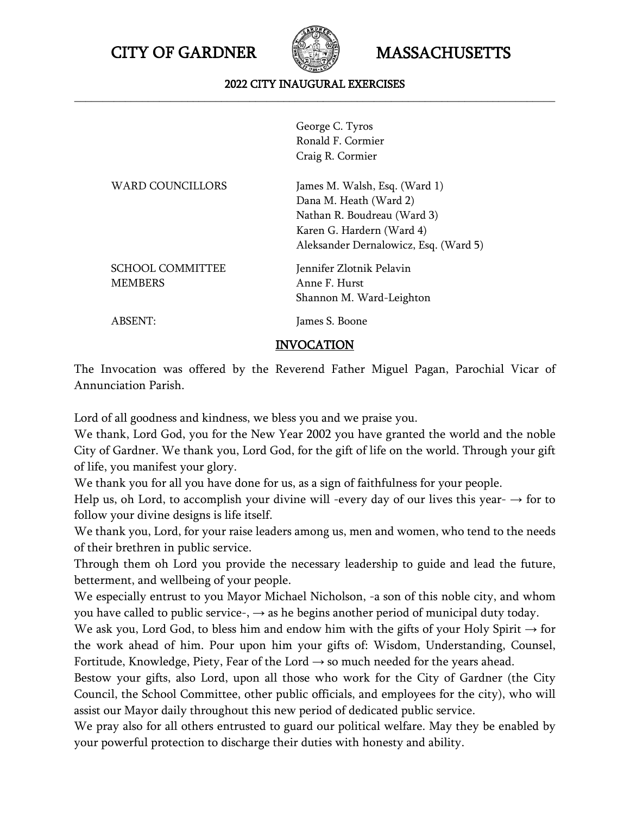

### 2022 CITY INAUGURAL EXERCISES **\_\_\_\_\_\_\_\_\_\_\_\_\_\_\_\_\_\_\_\_\_\_\_\_\_\_\_\_\_\_\_\_\_\_\_\_\_\_\_\_\_\_\_\_\_\_\_\_\_\_\_\_\_\_\_\_\_\_\_\_\_\_\_\_\_\_\_\_\_\_\_\_\_\_\_\_\_\_\_\_\_\_\_\_\_**

George C. Tyros Ronald F. Cormier Craig R. Cormier

| <b>WARD COUNCILLORS</b> | James M. Walsh, Esq. (Ward 1)         |
|-------------------------|---------------------------------------|
|                         | Dana M. Heath (Ward 2)                |
|                         | Nathan R. Boudreau (Ward 3)           |
|                         | Karen G. Hardern (Ward 4)             |
|                         | Aleksander Dernalowicz, Esq. (Ward 5) |
| <b>SCHOOL COMMITTEE</b> | Jennifer Zlotnik Pelavin              |
| <b>MEMBERS</b>          | Anne F. Hurst                         |
|                         | Shannon M. Ward-Leighton              |
| ABSENT:                 | James S. Boone                        |
|                         |                                       |

INVOCATION

The Invocation was offered by the Reverend Father Miguel Pagan, Parochial Vicar of Annunciation Parish.

Lord of all goodness and kindness, we bless you and we praise you.

We thank, Lord God, you for the New Year 2002 you have granted the world and the noble City of Gardner. We thank you, Lord God, for the gift of life on the world. Through your gift of life, you manifest your glory.

We thank you for all you have done for us, as a sign of faithfulness for your people.

Help us, oh Lord, to accomplish your divine will -every day of our lives this year-  $\rightarrow$  for to follow your divine designs is life itself.

We thank you, Lord, for your raise leaders among us, men and women, who tend to the needs of their brethren in public service.

Through them oh Lord you provide the necessary leadership to guide and lead the future, betterment, and wellbeing of your people.

We especially entrust to you Mayor Michael Nicholson, -a son of this noble city, and whom you have called to public service-,  $\rightarrow$  as he begins another period of municipal duty today.

We ask you, Lord God, to bless him and endow him with the gifts of your Holy Spirit  $\rightarrow$  for the work ahead of him. Pour upon him your gifts of: Wisdom, Understanding, Counsel, Fortitude, Knowledge, Piety, Fear of the Lord  $\rightarrow$  so much needed for the years ahead.

Bestow your gifts, also Lord, upon all those who work for the City of Gardner (the City Council, the School Committee, other public officials, and employees for the city), who will assist our Mayor daily throughout this new period of dedicated public service.

We pray also for all others entrusted to guard our political welfare. May they be enabled by your powerful protection to discharge their duties with honesty and ability.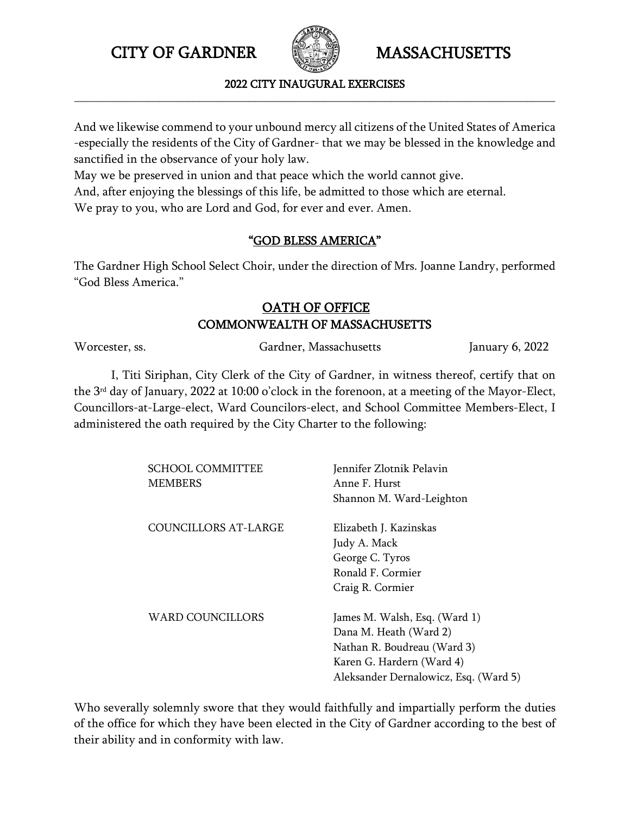

### 2022 CITY INAUGURAL EXERCISES **\_\_\_\_\_\_\_\_\_\_\_\_\_\_\_\_\_\_\_\_\_\_\_\_\_\_\_\_\_\_\_\_\_\_\_\_\_\_\_\_\_\_\_\_\_\_\_\_\_\_\_\_\_\_\_\_\_\_\_\_\_\_\_\_\_\_\_\_\_\_\_\_\_\_\_\_\_\_\_\_\_\_\_\_\_**

And we likewise commend to your unbound mercy all citizens of the United States of America -especially the residents of the City of Gardner- that we may be blessed in the knowledge and sanctified in the observance of your holy law.

May we be preserved in union and that peace which the world cannot give.

And, after enjoying the blessings of this life, be admitted to those which are eternal.

We pray to you, who are Lord and God, for ever and ever. Amen.

# "GOD BLESS AMERICA"

The Gardner High School Select Choir, under the direction of Mrs. Joanne Landry, performed "God Bless America."

# OATH OF OFFICE COMMONWEALTH OF MASSACHUSETTS

Worcester, ss. Gardner, Massachusetts January 6, 2022

I, Titi Siriphan, City Clerk of the City of Gardner, in witness thereof, certify that on the 3rd day of January, 2022 at 10:00 o'clock in the forenoon, at a meeting of the Mayor-Elect, Councillors-at-Large-elect, Ward Councilors-elect, and School Committee Members-Elect, I administered the oath required by the City Charter to the following:

| Jennifer Zlotnik Pelavin              |
|---------------------------------------|
| Anne F. Hurst                         |
| Shannon M. Ward-Leighton              |
| Elizabeth J. Kazinskas                |
| Judy A. Mack                          |
| George C. Tyros                       |
| Ronald F. Cormier                     |
| Craig R. Cormier                      |
| James M. Walsh, Esq. (Ward 1)         |
| Dana M. Heath (Ward 2)                |
| Nathan R. Boudreau (Ward 3)           |
| Karen G. Hardern (Ward 4)             |
| Aleksander Dernalowicz, Esq. (Ward 5) |
|                                       |

Who severally solemnly swore that they would faithfully and impartially perform the duties of the office for which they have been elected in the City of Gardner according to the best of their ability and in conformity with law.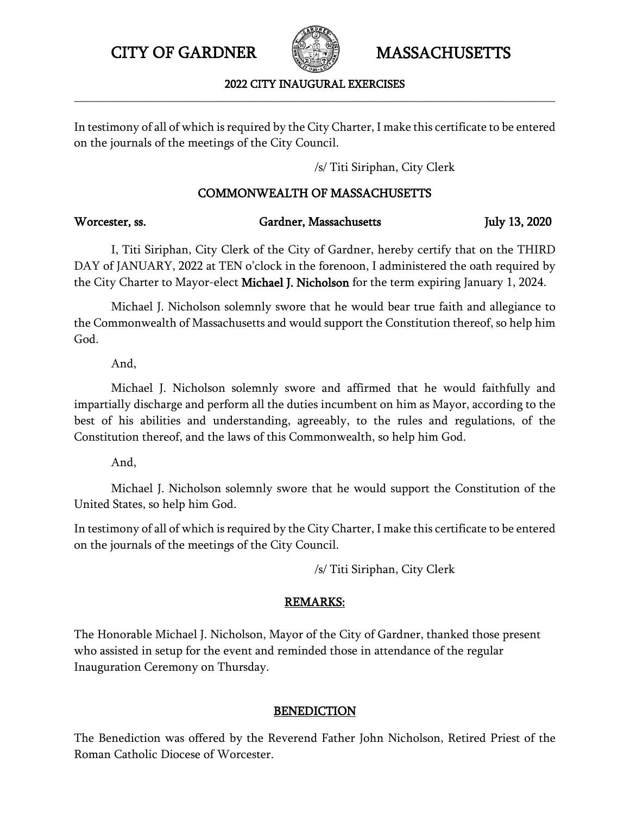

2022 CITY INAUGURAL EXERCISES **\_\_\_\_\_\_\_\_\_\_\_\_\_\_\_\_\_\_\_\_\_\_\_\_\_\_\_\_\_\_\_\_\_\_\_\_\_\_\_\_\_\_\_\_\_\_\_\_\_\_\_\_\_\_\_\_\_\_\_\_\_\_\_\_\_\_\_\_\_\_\_\_\_\_\_\_\_\_\_\_\_\_\_\_\_**

In testimony of all of which is required by the City Charter, I make this certificate to be entered on the journals of the meetings of the City Council.

/s/ Titi Siriphan, City Clerk

## COMMONWEALTH OF MASSACHUSETTS

| Worcester, ss. | Gardner, Massachusetts | July 13, 2020 |
|----------------|------------------------|---------------|
|                |                        |               |

I, Titi Siriphan, City Clerk of the City of Gardner, hereby certify that on the THIRD DAY of JANUARY, 2022 at TEN o'clock in the forenoon, I administered the oath required by the City Charter to Mayor-elect Michael J. Nicholson for the term expiring January 1, 2024.

Michael J. Nicholson solemnly swore that he would bear true faith and allegiance to the Commonwealth of Massachusetts and would support the Constitution thereof, so help him God.

And,

Michael J. Nicholson solemnly swore and affirmed that he would faithfully and impartially discharge and perform all the duties incumbent on him as Mayor, according to the best of his abilities and understanding, agreeably, to the rules and regulations, of the Constitution thereof, and the laws of this Commonwealth, so help him God.

And,

Michael J. Nicholson solemnly swore that he would support the Constitution of the United States, so help him God.

In testimony of all of which is required by the City Charter, I make this certificate to be entered on the journals of the meetings of the City Council.

/s/ Titi Siriphan, City Clerk

# REMARKS:

The Honorable Michael J. Nicholson, Mayor of the City of Gardner, thanked those present who assisted in setup for the event and reminded those in attendance of the regular Inauguration Ceremony on Thursday.

## BENEDICTION

The Benediction was offered by the Reverend Father John Nicholson, Retired Priest of the Roman Catholic Diocese of Worcester.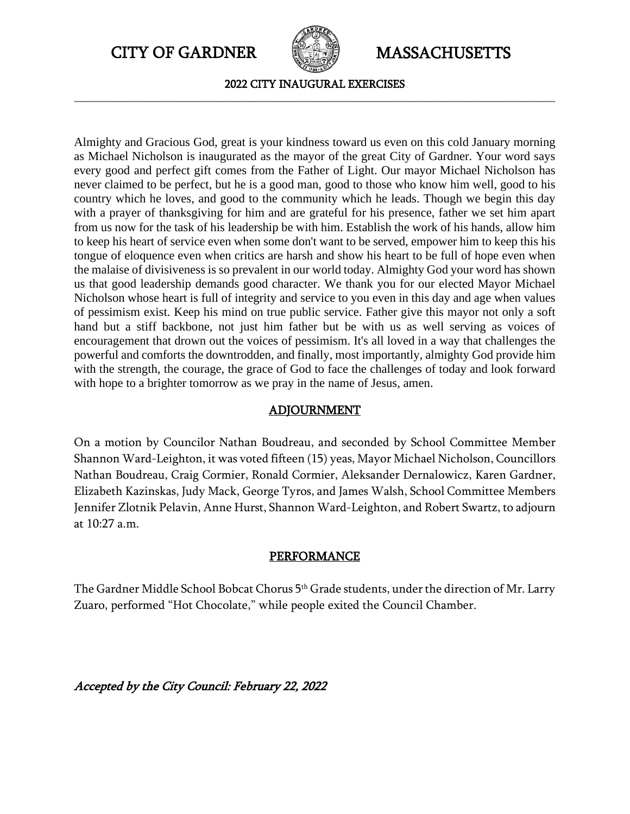CITY OF GARDNER **CITY OF GARDNER** MASSACHUSETTS



2022 CITY INAUGURAL EXERCISES **\_\_\_\_\_\_\_\_\_\_\_\_\_\_\_\_\_\_\_\_\_\_\_\_\_\_\_\_\_\_\_\_\_\_\_\_\_\_\_\_\_\_\_\_\_\_\_\_\_\_\_\_\_\_\_\_\_\_\_\_\_\_\_\_\_\_\_\_\_\_\_\_\_\_\_\_\_\_\_\_\_\_\_\_\_**

Almighty and Gracious God, great is your kindness toward us even on this cold January morning as Michael Nicholson is inaugurated as the mayor of the great City of Gardner. Your word says every good and perfect gift comes from the Father of Light. Our mayor Michael Nicholson has never claimed to be perfect, but he is a good man, good to those who know him well, good to his country which he loves, and good to the community which he leads. Though we begin this day with a prayer of thanksgiving for him and are grateful for his presence, father we set him apart from us now for the task of his leadership be with him. Establish the work of his hands, allow him to keep his heart of service even when some don't want to be served, empower him to keep this his tongue of eloquence even when critics are harsh and show his heart to be full of hope even when the malaise of divisiveness is so prevalent in our world today. Almighty God your word has shown us that good leadership demands good character. We thank you for our elected Mayor Michael Nicholson whose heart is full of integrity and service to you even in this day and age when values of pessimism exist. Keep his mind on true public service. Father give this mayor not only a soft hand but a stiff backbone, not just him father but be with us as well serving as voices of encouragement that drown out the voices of pessimism. It's all loved in a way that challenges the powerful and comforts the downtrodden, and finally, most importantly, almighty God provide him with the strength, the courage, the grace of God to face the challenges of today and look forward with hope to a brighter tomorrow as we pray in the name of Jesus, amen.

## ADJOURNMENT

On a motion by Councilor Nathan Boudreau, and seconded by School Committee Member Shannon Ward-Leighton, it was voted fifteen (15) yeas, Mayor Michael Nicholson, Councillors Nathan Boudreau, Craig Cormier, Ronald Cormier, Aleksander Dernalowicz, Karen Gardner, Elizabeth Kazinskas, Judy Mack, George Tyros, and James Walsh, School Committee Members Jennifer Zlotnik Pelavin, Anne Hurst, Shannon Ward-Leighton, and Robert Swartz, to adjourn at 10:27 a.m.

## PERFORMANCE

The Gardner Middle School Bobcat Chorus 5<sup>th</sup> Grade students, under the direction of Mr. Larry Zuaro, performed "Hot Chocolate," while people exited the Council Chamber.

Accepted by the City Council: February 22, 2022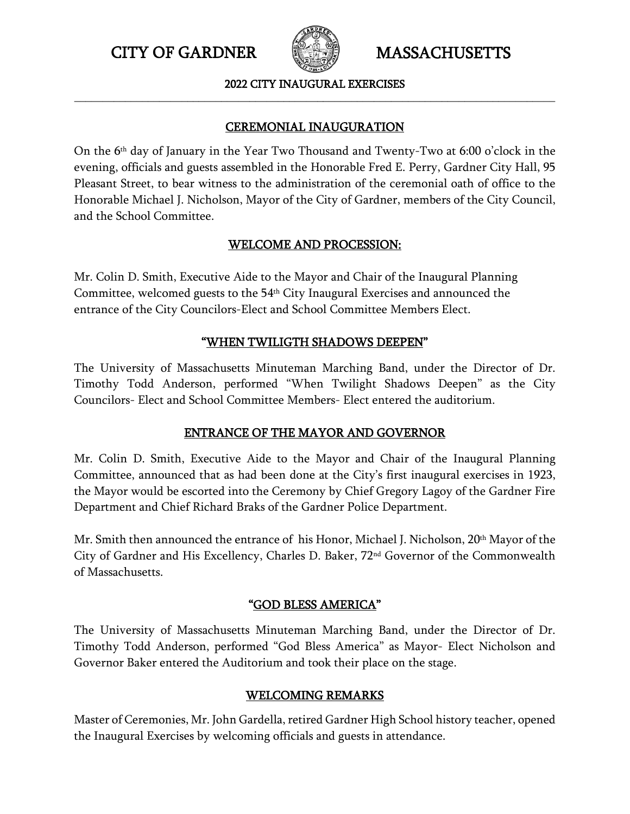

2022 CITY INAUGURAL EXERCISES **\_\_\_\_\_\_\_\_\_\_\_\_\_\_\_\_\_\_\_\_\_\_\_\_\_\_\_\_\_\_\_\_\_\_\_\_\_\_\_\_\_\_\_\_\_\_\_\_\_\_\_\_\_\_\_\_\_\_\_\_\_\_\_\_\_\_\_\_\_\_\_\_\_\_\_\_\_\_\_\_\_\_\_\_\_**

# CEREMONIAL INAUGURATION

On the 6th day of January in the Year Two Thousand and Twenty-Two at 6:00 o'clock in the evening, officials and guests assembled in the Honorable Fred E. Perry, Gardner City Hall, 95 Pleasant Street, to bear witness to the administration of the ceremonial oath of office to the Honorable Michael J. Nicholson, Mayor of the City of Gardner, members of the City Council, and the School Committee.

# WELCOME AND PROCESSION:

Mr. Colin D. Smith, Executive Aide to the Mayor and Chair of the Inaugural Planning Committee, welcomed guests to the 54<sup>th</sup> City Inaugural Exercises and announced the entrance of the City Councilors-Elect and School Committee Members Elect.

# "WHEN TWILIGTH SHADOWS DEEPEN"

The University of Massachusetts Minuteman Marching Band, under the Director of Dr. Timothy Todd Anderson, performed "When Twilight Shadows Deepen" as the City Councilors- Elect and School Committee Members- Elect entered the auditorium.

# ENTRANCE OF THE MAYOR AND GOVERNOR

Mr. Colin D. Smith, Executive Aide to the Mayor and Chair of the Inaugural Planning Committee, announced that as had been done at the City's first inaugural exercises in 1923, the Mayor would be escorted into the Ceremony by Chief Gregory Lagoy of the Gardner Fire Department and Chief Richard Braks of the Gardner Police Department.

Mr. Smith then announced the entrance of his Honor, Michael J. Nicholson,  $20<sup>th</sup>$  Mayor of the City of Gardner and His Excellency, Charles D. Baker, 72nd Governor of the Commonwealth of Massachusetts.

# "GOD BLESS AMERICA"

The University of Massachusetts Minuteman Marching Band, under the Director of Dr. Timothy Todd Anderson, performed "God Bless America" as Mayor- Elect Nicholson and Governor Baker entered the Auditorium and took their place on the stage.

# WELCOMING REMARKS

Master of Ceremonies, Mr. John Gardella, retired Gardner High School history teacher, opened the Inaugural Exercises by welcoming officials and guests in attendance.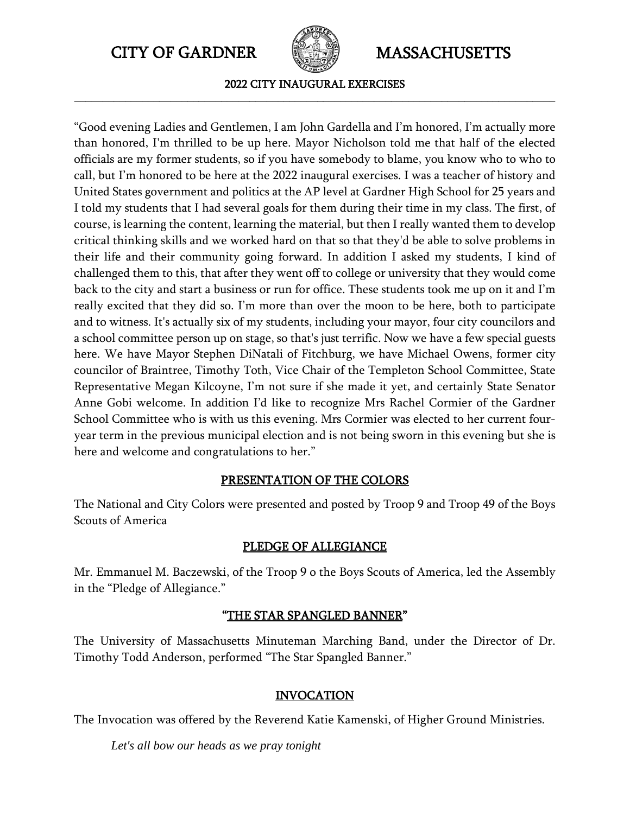

2022 CITY INAUGURAL EXERCISES **\_\_\_\_\_\_\_\_\_\_\_\_\_\_\_\_\_\_\_\_\_\_\_\_\_\_\_\_\_\_\_\_\_\_\_\_\_\_\_\_\_\_\_\_\_\_\_\_\_\_\_\_\_\_\_\_\_\_\_\_\_\_\_\_\_\_\_\_\_\_\_\_\_\_\_\_\_\_\_\_\_\_\_\_\_**

"Good evening Ladies and Gentlemen, I am John Gardella and I'm honored, I'm actually more than honored, I'm thrilled to be up here. Mayor Nicholson told me that half of the elected officials are my former students, so if you have somebody to blame, you know who to who to call, but I'm honored to be here at the 2022 inaugural exercises. I was a teacher of history and United States government and politics at the AP level at Gardner High School for 25 years and I told my students that I had several goals for them during their time in my class. The first, of course, is learning the content, learning the material, but then I really wanted them to develop critical thinking skills and we worked hard on that so that they'd be able to solve problems in their life and their community going forward. In addition I asked my students, I kind of challenged them to this, that after they went off to college or university that they would come back to the city and start a business or run for office. These students took me up on it and I'm really excited that they did so. I'm more than over the moon to be here, both to participate and to witness. It's actually six of my students, including your mayor, four city councilors and a school committee person up on stage, so that's just terrific. Now we have a few special guests here. We have Mayor Stephen DiNatali of Fitchburg, we have Michael Owens, former city councilor of Braintree, Timothy Toth, Vice Chair of the Templeton School Committee, State Representative Megan Kilcoyne, I'm not sure if she made it yet, and certainly State Senator Anne Gobi welcome. In addition I'd like to recognize Mrs Rachel Cormier of the Gardner School Committee who is with us this evening. Mrs Cormier was elected to her current fouryear term in the previous municipal election and is not being sworn in this evening but she is here and welcome and congratulations to her."

## PRESENTATION OF THE COLORS

The National and City Colors were presented and posted by Troop 9 and Troop 49 of the Boys Scouts of America

## PLEDGE OF ALLEGIANCE

Mr. Emmanuel M. Baczewski, of the Troop 9 o the Boys Scouts of America, led the Assembly in the "Pledge of Allegiance."

## "THE STAR SPANGLED BANNER"

The University of Massachusetts Minuteman Marching Band, under the Director of Dr. Timothy Todd Anderson, performed "The Star Spangled Banner."

## **INVOCATION**

The Invocation was offered by the Reverend Katie Kamenski, of Higher Ground Ministries.

*Let's all bow our heads as we pray tonight*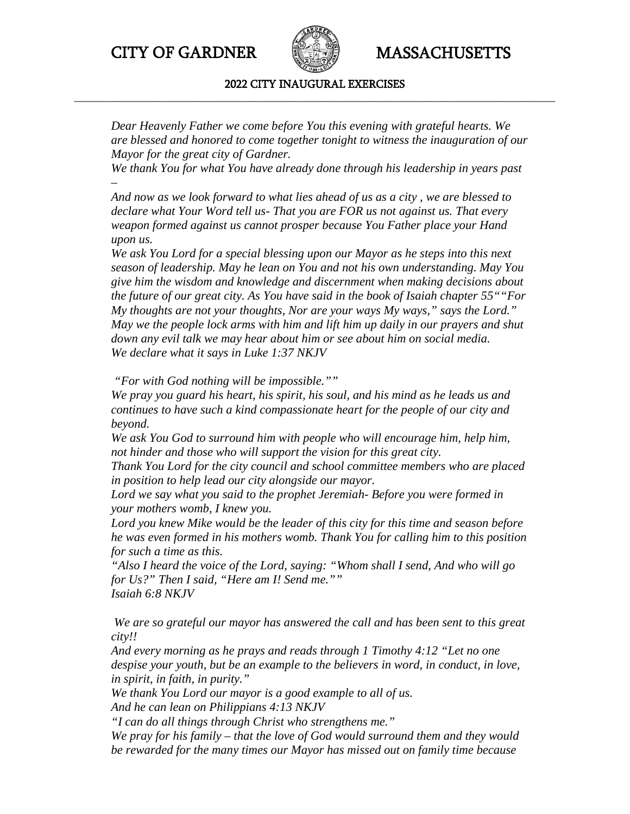

### 2022 CITY INAUGURAL EXERCISES **\_\_\_\_\_\_\_\_\_\_\_\_\_\_\_\_\_\_\_\_\_\_\_\_\_\_\_\_\_\_\_\_\_\_\_\_\_\_\_\_\_\_\_\_\_\_\_\_\_\_\_\_\_\_\_\_\_\_\_\_\_\_\_\_\_\_\_\_\_\_\_\_\_\_\_\_\_\_\_\_\_\_\_\_\_**

*Dear Heavenly Father we come before You this evening with grateful hearts. We are blessed and honored to come together tonight to witness the inauguration of our Mayor for the great city of Gardner.*

*We thank You for what You have already done through his leadership in years past –*

*And now as we look forward to what lies ahead of us as a city , we are blessed to declare what Your Word tell us- That you are FOR us not against us. That every weapon formed against us cannot prosper because You Father place your Hand upon us.*

*We ask You Lord for a special blessing upon our Mayor as he steps into this next season of leadership. May he lean on You and not his own understanding. May You give him the wisdom and knowledge and discernment when making decisions about the future of our great city. As You have said in the book of Isaiah chapter 55""For My thoughts are not your thoughts, Nor are your ways My ways," says the Lord." May we the people lock arms with him and lift him up daily in our prayers and shut down any evil talk we may hear about him or see about him on social media. We declare what it says in Luke 1:37 NKJV*

*"For with God nothing will be impossible.""*

*We pray you guard his heart, his spirit, his soul, and his mind as he leads us and continues to have such a kind compassionate heart for the people of our city and beyond.*

*We ask You God to surround him with people who will encourage him, help him, not hinder and those who will support the vision for this great city.*

*Thank You Lord for the city council and school committee members who are placed in position to help lead our city alongside our mayor.*

*Lord we say what you said to the prophet Jeremiah- Before you were formed in your mothers womb, I knew you.*

*Lord you knew Mike would be the leader of this city for this time and season before he was even formed in his mothers womb. Thank You for calling him to this position for such a time as this.*

*"Also I heard the voice of the Lord, saying: "Whom shall I send, And who will go for Us?" Then I said, "Here am I! Send me."" Isaiah 6:8 NKJV*

*We are so grateful our mayor has answered the call and has been sent to this great city!!*

*And every morning as he prays and reads through 1 Timothy 4:12 "Let no one despise your youth, but be an example to the believers in word, in conduct, in love, in spirit, in faith, in purity."*

*We thank You Lord our mayor is a good example to all of us.*

*And he can lean on Philippians 4:13 NKJV*

*"I can do all things through Christ who strengthens me."*

*We pray for his family – that the love of God would surround them and they would be rewarded for the many times our Mayor has missed out on family time because*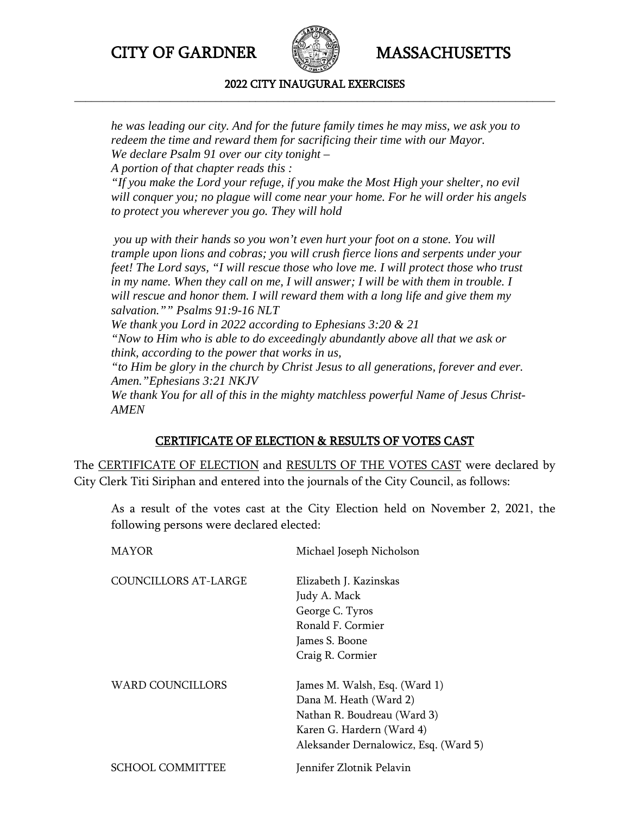

### 2022 CITY INAUGURAL EXERCISES **\_\_\_\_\_\_\_\_\_\_\_\_\_\_\_\_\_\_\_\_\_\_\_\_\_\_\_\_\_\_\_\_\_\_\_\_\_\_\_\_\_\_\_\_\_\_\_\_\_\_\_\_\_\_\_\_\_\_\_\_\_\_\_\_\_\_\_\_\_\_\_\_\_\_\_\_\_\_\_\_\_\_\_\_\_**

*he was leading our city. And for the future family times he may miss, we ask you to redeem the time and reward them for sacrificing their time with our Mayor. We declare Psalm 91 over our city tonight –*

*A portion of that chapter reads this :*

*"If you make the Lord your refuge, if you make the Most High your shelter, no evil will conquer you; no plague will come near your home. For he will order his angels to protect you wherever you go. They will hold*

*you up with their hands so you won't even hurt your foot on a stone. You will trample upon lions and cobras; you will crush fierce lions and serpents under your feet! The Lord says, "I will rescue those who love me. I will protect those who trust in my name. When they call on me, I will answer; I will be with them in trouble. I will rescue and honor them. I will reward them with a long life and give them my salvation."" Psalms 91:9-16 NLT We thank you Lord in 2022 according to Ephesians 3:20 & 21 "Now to Him who is able to do exceedingly abundantly above all that we ask or think, according to the power that works in us, "to Him be glory in the church by Christ Jesus to all generations, forever and ever. Amen."Ephesians 3:21 NKJV We thank You for all of this in the mighty matchless powerful Name of Jesus Christ-AMEN*

## CERTIFICATE OF ELECTION & RESULTS OF VOTES CAST

The CERTIFICATE OF ELECTION and RESULTS OF THE VOTES CAST were declared by City Clerk Titi Siriphan and entered into the journals of the City Council, as follows:

As a result of the votes cast at the City Election held on November 2, 2021, the following persons were declared elected:

| <b>MAYOR</b>         | Michael Joseph Nicholson              |
|----------------------|---------------------------------------|
| COUNCILLORS AT-LARGE | Elizabeth J. Kazinskas                |
|                      | Judy A. Mack                          |
|                      | George C. Tyros                       |
|                      | Ronald F. Cormier                     |
|                      | James S. Boone                        |
|                      | Craig R. Cormier                      |
| WARD COUNCILLORS     | James M. Walsh, Esq. (Ward 1)         |
|                      | Dana M. Heath (Ward 2)                |
|                      | Nathan R. Boudreau (Ward 3)           |
|                      | Karen G. Hardern (Ward 4)             |
|                      | Aleksander Dernalowicz, Esq. (Ward 5) |
| SCHOOL COMMITTEE     | Jennifer Zlotnik Pelavin              |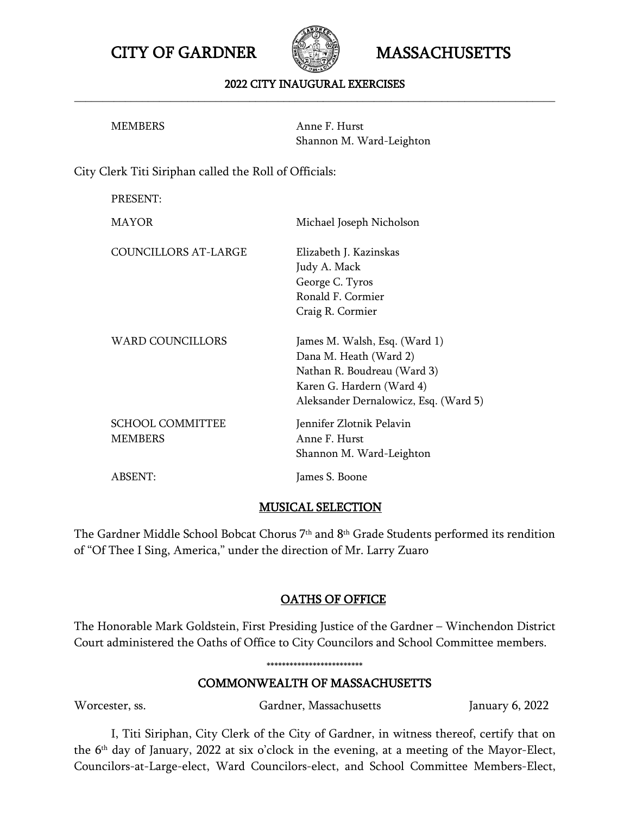CITY OF GARDNER **CITY OF GARDNER** MASSACHUSETTS



### 2022 CITY INAUGURAL EXERCISES **\_\_\_\_\_\_\_\_\_\_\_\_\_\_\_\_\_\_\_\_\_\_\_\_\_\_\_\_\_\_\_\_\_\_\_\_\_\_\_\_\_\_\_\_\_\_\_\_\_\_\_\_\_\_\_\_\_\_\_\_\_\_\_\_\_\_\_\_\_\_\_\_\_\_\_\_\_\_\_\_\_\_\_\_\_**

| MEMBERS | Anne F. Hurst            |
|---------|--------------------------|
|         | Shannon M. Ward-Leighton |

City Clerk Titi Siriphan called the Roll of Officials:

| PRESENT:                           |                                                                                                                                                              |
|------------------------------------|--------------------------------------------------------------------------------------------------------------------------------------------------------------|
| MAYOR                              | Michael Joseph Nicholson                                                                                                                                     |
| <b>COUNCILLORS AT-LARGE</b>        | Elizabeth J. Kazinskas<br>Judy A. Mack<br>George C. Tyros<br>Ronald F. Cormier<br>Craig R. Cormier                                                           |
| <b>WARD COUNCILLORS</b>            | James M. Walsh, Esq. (Ward 1)<br>Dana M. Heath (Ward 2)<br>Nathan R. Boudreau (Ward 3)<br>Karen G. Hardern (Ward 4)<br>Aleksander Dernalowicz, Esq. (Ward 5) |
| <b>SCHOOL COMMITTEE</b><br>MEMBERS | Jennifer Zlotnik Pelavin<br>Anne F. Hurst<br>Shannon M. Ward-Leighton                                                                                        |
| ABSENT:                            | James S. Boone                                                                                                                                               |

### MUSICAL SELECTION

The Gardner Middle School Bobcat Chorus 7th and 8th Grade Students performed its rendition of "Of Thee I Sing, America," under the direction of Mr. Larry Zuaro

## OATHS OF OFFICE

The Honorable Mark Goldstein, First Presiding Justice of the Gardner – Winchendon District Court administered the Oaths of Office to City Councilors and School Committee members.

# COMMONWEALTH OF MASSACHUSETTS

\*\*\*\*\*\*\*\*\*\*\*\*\*\*\*\*\*\*\*\*\*\*\*\*\*

Worcester, ss. Gardner, Massachusetts January 6, 2022

I, Titi Siriphan, City Clerk of the City of Gardner, in witness thereof, certify that on the 6th day of January, 2022 at six o'clock in the evening, at a meeting of the Mayor-Elect, Councilors-at-Large-elect, Ward Councilors-elect, and School Committee Members-Elect,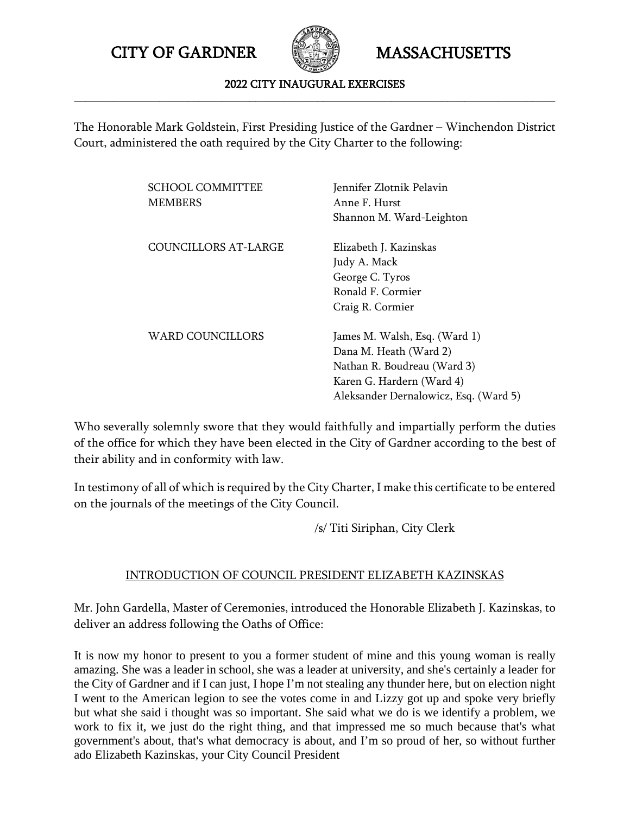

### 2022 CITY INAUGURAL EXERCISES **\_\_\_\_\_\_\_\_\_\_\_\_\_\_\_\_\_\_\_\_\_\_\_\_\_\_\_\_\_\_\_\_\_\_\_\_\_\_\_\_\_\_\_\_\_\_\_\_\_\_\_\_\_\_\_\_\_\_\_\_\_\_\_\_\_\_\_\_\_\_\_\_\_\_\_\_\_\_\_\_\_\_\_\_\_**

The Honorable Mark Goldstein, First Presiding Justice of the Gardner – Winchendon District Court, administered the oath required by the City Charter to the following:

| <b>SCHOOL COMMITTEE</b><br><b>MEMBERS</b> | Jennifer Zlotnik Pelavin<br>Anne F. Hurst<br>Shannon M. Ward-Leighton                                                                                        |
|-------------------------------------------|--------------------------------------------------------------------------------------------------------------------------------------------------------------|
| COUNCILLORS AT-LARGE                      | Elizabeth J. Kazinskas<br>Judy A. Mack<br>George C. Tyros<br>Ronald F. Cormier<br>Craig R. Cormier                                                           |
| WARD COUNCILLORS                          | James M. Walsh, Esq. (Ward 1)<br>Dana M. Heath (Ward 2)<br>Nathan R. Boudreau (Ward 3)<br>Karen G. Hardern (Ward 4)<br>Aleksander Dernalowicz, Esq. (Ward 5) |

Who severally solemnly swore that they would faithfully and impartially perform the duties of the office for which they have been elected in the City of Gardner according to the best of their ability and in conformity with law.

In testimony of all of which is required by the City Charter, I make this certificate to be entered on the journals of the meetings of the City Council.

/s/ Titi Siriphan, City Clerk

# INTRODUCTION OF COUNCIL PRESIDENT ELIZABETH KAZINSKAS

Mr. John Gardella, Master of Ceremonies, introduced the Honorable Elizabeth J. Kazinskas, to deliver an address following the Oaths of Office:

It is now my honor to present to you a former student of mine and this young woman is really amazing. She was a leader in school, she was a leader at university, and she's certainly a leader for the City of Gardner and if I can just, I hope I'm not stealing any thunder here, but on election night I went to the American legion to see the votes come in and Lizzy got up and spoke very briefly but what she said i thought was so important. She said what we do is we identify a problem, we work to fix it, we just do the right thing, and that impressed me so much because that's what government's about, that's what democracy is about, and I'm so proud of her, so without further ado Elizabeth Kazinskas, your City Council President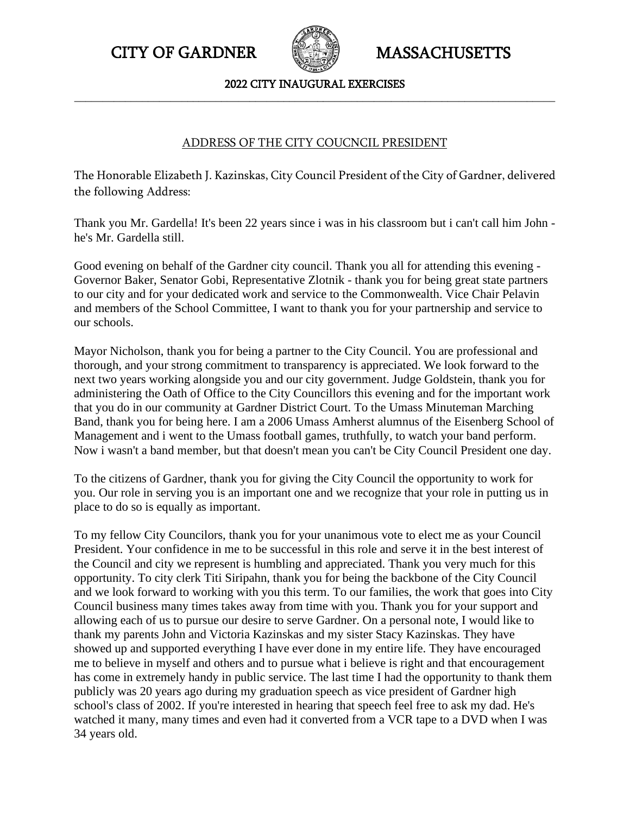

### 2022 CITY INAUGURAL EXERCISES **\_\_\_\_\_\_\_\_\_\_\_\_\_\_\_\_\_\_\_\_\_\_\_\_\_\_\_\_\_\_\_\_\_\_\_\_\_\_\_\_\_\_\_\_\_\_\_\_\_\_\_\_\_\_\_\_\_\_\_\_\_\_\_\_\_\_\_\_\_\_\_\_\_\_\_\_\_\_\_\_\_\_\_\_\_**

### ADDRESS OF THE CITY COUCNCIL PRESIDENT

The Honorable Elizabeth J. Kazinskas, City Council President of the City of Gardner, delivered the following Address:

Thank you Mr. Gardella! It's been 22 years since i was in his classroom but i can't call him John he's Mr. Gardella still.

Good evening on behalf of the Gardner city council. Thank you all for attending this evening - Governor Baker, Senator Gobi, Representative Zlotnik - thank you for being great state partners to our city and for your dedicated work and service to the Commonwealth. Vice Chair Pelavin and members of the School Committee, I want to thank you for your partnership and service to our schools.

Mayor Nicholson, thank you for being a partner to the City Council. You are professional and thorough, and your strong commitment to transparency is appreciated. We look forward to the next two years working alongside you and our city government. Judge Goldstein, thank you for administering the Oath of Office to the City Councillors this evening and for the important work that you do in our community at Gardner District Court. To the Umass Minuteman Marching Band, thank you for being here. I am a 2006 Umass Amherst alumnus of the Eisenberg School of Management and i went to the Umass football games, truthfully, to watch your band perform. Now i wasn't a band member, but that doesn't mean you can't be City Council President one day.

To the citizens of Gardner, thank you for giving the City Council the opportunity to work for you. Our role in serving you is an important one and we recognize that your role in putting us in place to do so is equally as important.

To my fellow City Councilors, thank you for your unanimous vote to elect me as your Council President. Your confidence in me to be successful in this role and serve it in the best interest of the Council and city we represent is humbling and appreciated. Thank you very much for this opportunity. To city clerk Titi Siripahn, thank you for being the backbone of the City Council and we look forward to working with you this term. To our families, the work that goes into City Council business many times takes away from time with you. Thank you for your support and allowing each of us to pursue our desire to serve Gardner. On a personal note, I would like to thank my parents John and Victoria Kazinskas and my sister Stacy Kazinskas. They have showed up and supported everything I have ever done in my entire life. They have encouraged me to believe in myself and others and to pursue what i believe is right and that encouragement has come in extremely handy in public service. The last time I had the opportunity to thank them publicly was 20 years ago during my graduation speech as vice president of Gardner high school's class of 2002. If you're interested in hearing that speech feel free to ask my dad. He's watched it many, many times and even had it converted from a VCR tape to a DVD when I was 34 years old.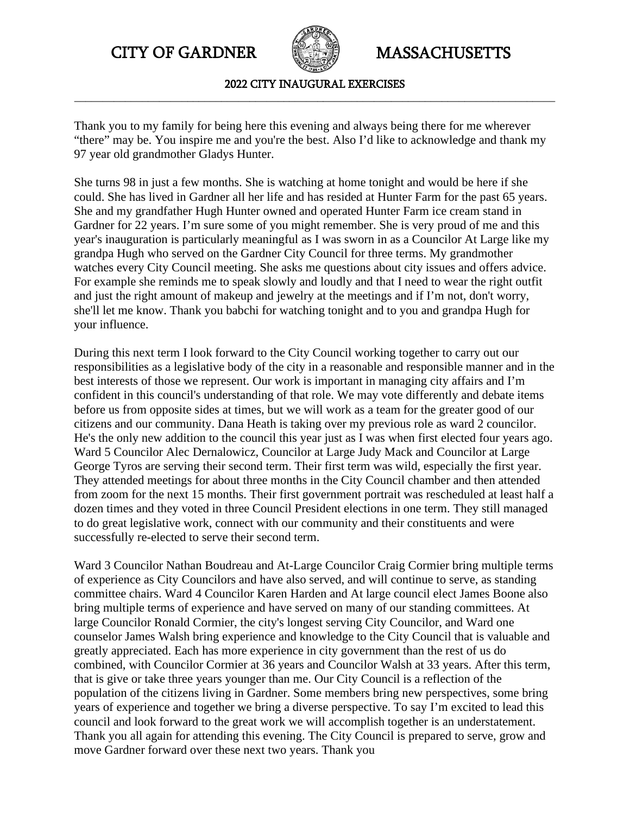

2022 CITY INAUGURAL EXERCISES **\_\_\_\_\_\_\_\_\_\_\_\_\_\_\_\_\_\_\_\_\_\_\_\_\_\_\_\_\_\_\_\_\_\_\_\_\_\_\_\_\_\_\_\_\_\_\_\_\_\_\_\_\_\_\_\_\_\_\_\_\_\_\_\_\_\_\_\_\_\_\_\_\_\_\_\_\_\_\_\_\_\_\_\_\_**

Thank you to my family for being here this evening and always being there for me wherever "there" may be. You inspire me and you're the best. Also I'd like to acknowledge and thank my 97 year old grandmother Gladys Hunter.

She turns 98 in just a few months. She is watching at home tonight and would be here if she could. She has lived in Gardner all her life and has resided at Hunter Farm for the past 65 years. She and my grandfather Hugh Hunter owned and operated Hunter Farm ice cream stand in Gardner for 22 years. I'm sure some of you might remember. She is very proud of me and this year's inauguration is particularly meaningful as I was sworn in as a Councilor At Large like my grandpa Hugh who served on the Gardner City Council for three terms. My grandmother watches every City Council meeting. She asks me questions about city issues and offers advice. For example she reminds me to speak slowly and loudly and that I need to wear the right outfit and just the right amount of makeup and jewelry at the meetings and if I'm not, don't worry, she'll let me know. Thank you babchi for watching tonight and to you and grandpa Hugh for your influence.

During this next term I look forward to the City Council working together to carry out our responsibilities as a legislative body of the city in a reasonable and responsible manner and in the best interests of those we represent. Our work is important in managing city affairs and I'm confident in this council's understanding of that role. We may vote differently and debate items before us from opposite sides at times, but we will work as a team for the greater good of our citizens and our community. Dana Heath is taking over my previous role as ward 2 councilor. He's the only new addition to the council this year just as I was when first elected four years ago. Ward 5 Councilor Alec Dernalowicz, Councilor at Large Judy Mack and Councilor at Large George Tyros are serving their second term. Their first term was wild, especially the first year. They attended meetings for about three months in the City Council chamber and then attended from zoom for the next 15 months. Their first government portrait was rescheduled at least half a dozen times and they voted in three Council President elections in one term. They still managed to do great legislative work, connect with our community and their constituents and were successfully re-elected to serve their second term.

Ward 3 Councilor Nathan Boudreau and At-Large Councilor Craig Cormier bring multiple terms of experience as City Councilors and have also served, and will continue to serve, as standing committee chairs. Ward 4 Councilor Karen Harden and At large council elect James Boone also bring multiple terms of experience and have served on many of our standing committees. At large Councilor Ronald Cormier, the city's longest serving City Councilor, and Ward one counselor James Walsh bring experience and knowledge to the City Council that is valuable and greatly appreciated. Each has more experience in city government than the rest of us do combined, with Councilor Cormier at 36 years and Councilor Walsh at 33 years. After this term, that is give or take three years younger than me. Our City Council is a reflection of the population of the citizens living in Gardner. Some members bring new perspectives, some bring years of experience and together we bring a diverse perspective. To say I'm excited to lead this council and look forward to the great work we will accomplish together is an understatement. Thank you all again for attending this evening. The City Council is prepared to serve, grow and move Gardner forward over these next two years. Thank you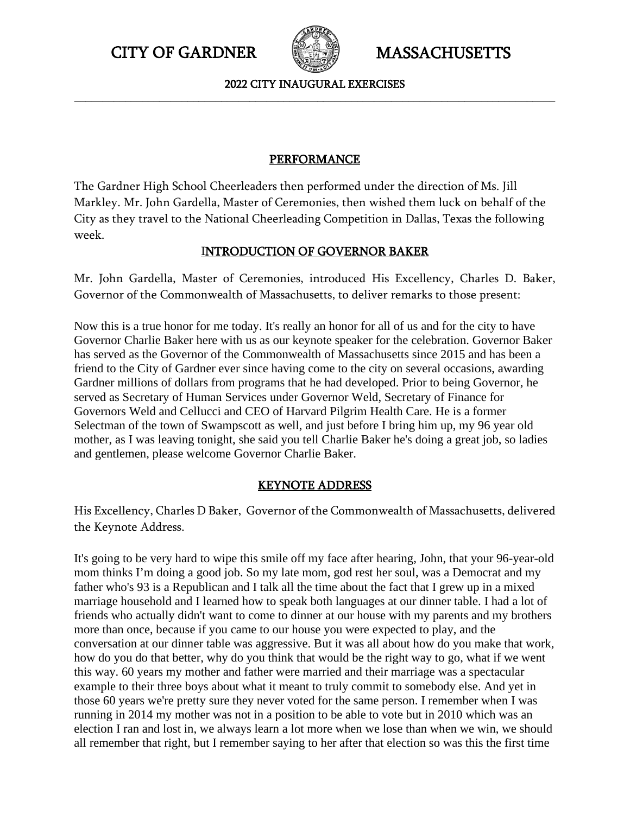

2022 CITY INAUGURAL EXERCISES **\_\_\_\_\_\_\_\_\_\_\_\_\_\_\_\_\_\_\_\_\_\_\_\_\_\_\_\_\_\_\_\_\_\_\_\_\_\_\_\_\_\_\_\_\_\_\_\_\_\_\_\_\_\_\_\_\_\_\_\_\_\_\_\_\_\_\_\_\_\_\_\_\_\_\_\_\_\_\_\_\_\_\_\_\_**

# PERFORMANCE

The Gardner High School Cheerleaders then performed under the direction of Ms. Jill Markley. Mr. John Gardella, Master of Ceremonies, then wished them luck on behalf of the City as they travel to the National Cheerleading Competition in Dallas, Texas the following week.

# INTRODUCTION OF GOVERNOR BAKER

Mr. John Gardella, Master of Ceremonies, introduced His Excellency, Charles D. Baker, Governor of the Commonwealth of Massachusetts, to deliver remarks to those present:

Now this is a true honor for me today. It's really an honor for all of us and for the city to have Governor Charlie Baker here with us as our keynote speaker for the celebration. Governor Baker has served as the Governor of the Commonwealth of Massachusetts since 2015 and has been a friend to the City of Gardner ever since having come to the city on several occasions, awarding Gardner millions of dollars from programs that he had developed. Prior to being Governor, he served as Secretary of Human Services under Governor Weld, Secretary of Finance for Governors Weld and Cellucci and CEO of Harvard Pilgrim Health Care. He is a former Selectman of the town of Swampscott as well, and just before I bring him up, my 96 year old mother, as I was leaving tonight, she said you tell Charlie Baker he's doing a great job, so ladies and gentlemen, please welcome Governor Charlie Baker.

# KEYNOTE ADDRESS

His Excellency, Charles D Baker, Governor of the Commonwealth of Massachusetts, delivered the Keynote Address.

It's going to be very hard to wipe this smile off my face after hearing, John, that your 96-year-old mom thinks I'm doing a good job. So my late mom, god rest her soul, was a Democrat and my father who's 93 is a Republican and I talk all the time about the fact that I grew up in a mixed marriage household and I learned how to speak both languages at our dinner table. I had a lot of friends who actually didn't want to come to dinner at our house with my parents and my brothers more than once, because if you came to our house you were expected to play, and the conversation at our dinner table was aggressive. But it was all about how do you make that work, how do you do that better, why do you think that would be the right way to go, what if we went this way. 60 years my mother and father were married and their marriage was a spectacular example to their three boys about what it meant to truly commit to somebody else. And yet in those 60 years we're pretty sure they never voted for the same person. I remember when I was running in 2014 my mother was not in a position to be able to vote but in 2010 which was an election I ran and lost in, we always learn a lot more when we lose than when we win, we should all remember that right, but I remember saying to her after that election so was this the first time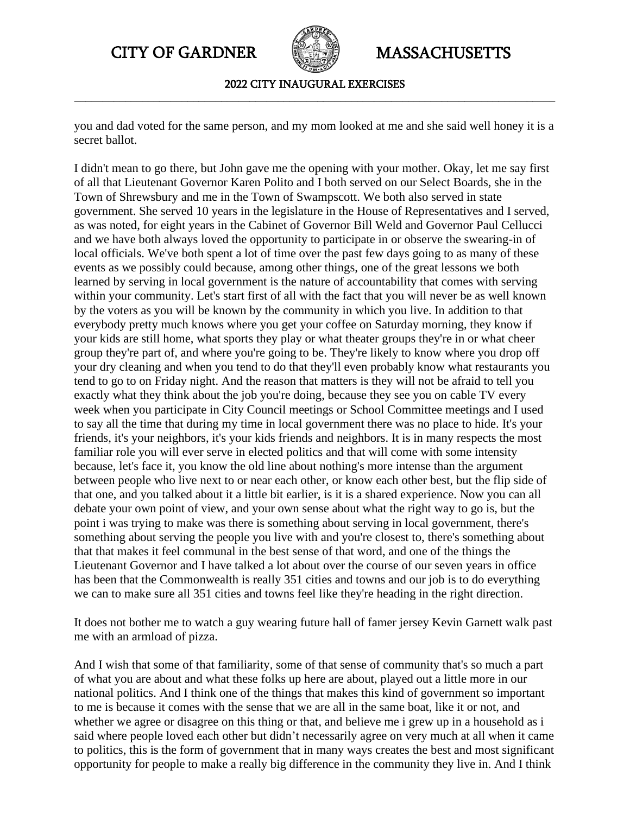

2022 CITY INAUGURAL EXERCISES **\_\_\_\_\_\_\_\_\_\_\_\_\_\_\_\_\_\_\_\_\_\_\_\_\_\_\_\_\_\_\_\_\_\_\_\_\_\_\_\_\_\_\_\_\_\_\_\_\_\_\_\_\_\_\_\_\_\_\_\_\_\_\_\_\_\_\_\_\_\_\_\_\_\_\_\_\_\_\_\_\_\_\_\_\_**

you and dad voted for the same person, and my mom looked at me and she said well honey it is a secret ballot.

I didn't mean to go there, but John gave me the opening with your mother. Okay, let me say first of all that Lieutenant Governor Karen Polito and I both served on our Select Boards, she in the Town of Shrewsbury and me in the Town of Swampscott. We both also served in state government. She served 10 years in the legislature in the House of Representatives and I served, as was noted, for eight years in the Cabinet of Governor Bill Weld and Governor Paul Cellucci and we have both always loved the opportunity to participate in or observe the swearing-in of local officials. We've both spent a lot of time over the past few days going to as many of these events as we possibly could because, among other things, one of the great lessons we both learned by serving in local government is the nature of accountability that comes with serving within your community. Let's start first of all with the fact that you will never be as well known by the voters as you will be known by the community in which you live. In addition to that everybody pretty much knows where you get your coffee on Saturday morning, they know if your kids are still home, what sports they play or what theater groups they're in or what cheer group they're part of, and where you're going to be. They're likely to know where you drop off your dry cleaning and when you tend to do that they'll even probably know what restaurants you tend to go to on Friday night. And the reason that matters is they will not be afraid to tell you exactly what they think about the job you're doing, because they see you on cable TV every week when you participate in City Council meetings or School Committee meetings and I used to say all the time that during my time in local government there was no place to hide. It's your friends, it's your neighbors, it's your kids friends and neighbors. It is in many respects the most familiar role you will ever serve in elected politics and that will come with some intensity because, let's face it, you know the old line about nothing's more intense than the argument between people who live next to or near each other, or know each other best, but the flip side of that one, and you talked about it a little bit earlier, is it is a shared experience. Now you can all debate your own point of view, and your own sense about what the right way to go is, but the point i was trying to make was there is something about serving in local government, there's something about serving the people you live with and you're closest to, there's something about that that makes it feel communal in the best sense of that word, and one of the things the Lieutenant Governor and I have talked a lot about over the course of our seven years in office has been that the Commonwealth is really 351 cities and towns and our job is to do everything we can to make sure all 351 cities and towns feel like they're heading in the right direction.

It does not bother me to watch a guy wearing future hall of famer jersey Kevin Garnett walk past me with an armload of pizza.

And I wish that some of that familiarity, some of that sense of community that's so much a part of what you are about and what these folks up here are about, played out a little more in our national politics. And I think one of the things that makes this kind of government so important to me is because it comes with the sense that we are all in the same boat, like it or not, and whether we agree or disagree on this thing or that, and believe me i grew up in a household as i said where people loved each other but didn't necessarily agree on very much at all when it came to politics, this is the form of government that in many ways creates the best and most significant opportunity for people to make a really big difference in the community they live in. And I think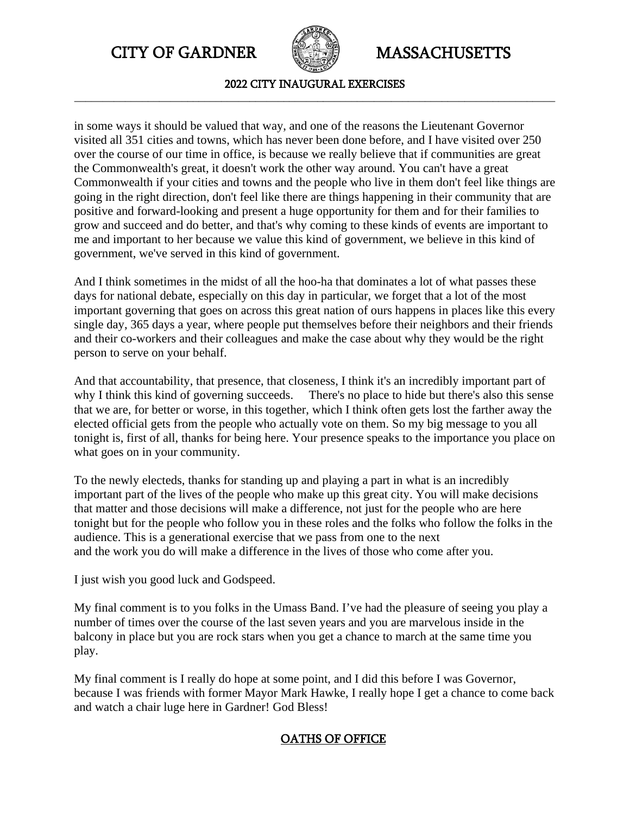

2022 CITY INAUGURAL EXERCISES **\_\_\_\_\_\_\_\_\_\_\_\_\_\_\_\_\_\_\_\_\_\_\_\_\_\_\_\_\_\_\_\_\_\_\_\_\_\_\_\_\_\_\_\_\_\_\_\_\_\_\_\_\_\_\_\_\_\_\_\_\_\_\_\_\_\_\_\_\_\_\_\_\_\_\_\_\_\_\_\_\_\_\_\_\_**

in some ways it should be valued that way, and one of the reasons the Lieutenant Governor visited all 351 cities and towns, which has never been done before, and I have visited over 250 over the course of our time in office, is because we really believe that if communities are great the Commonwealth's great, it doesn't work the other way around. You can't have a great Commonwealth if your cities and towns and the people who live in them don't feel like things are going in the right direction, don't feel like there are things happening in their community that are positive and forward-looking and present a huge opportunity for them and for their families to grow and succeed and do better, and that's why coming to these kinds of events are important to me and important to her because we value this kind of government, we believe in this kind of government, we've served in this kind of government.

And I think sometimes in the midst of all the hoo-ha that dominates a lot of what passes these days for national debate, especially on this day in particular, we forget that a lot of the most important governing that goes on across this great nation of ours happens in places like this every single day, 365 days a year, where people put themselves before their neighbors and their friends and their co-workers and their colleagues and make the case about why they would be the right person to serve on your behalf.

And that accountability, that presence, that closeness, I think it's an incredibly important part of why I think this kind of governing succeeds. There's no place to hide but there's also this sense that we are, for better or worse, in this together, which I think often gets lost the farther away the elected official gets from the people who actually vote on them. So my big message to you all tonight is, first of all, thanks for being here. Your presence speaks to the importance you place on what goes on in your community.

To the newly electeds, thanks for standing up and playing a part in what is an incredibly important part of the lives of the people who make up this great city. You will make decisions that matter and those decisions will make a difference, not just for the people who are here tonight but for the people who follow you in these roles and the folks who follow the folks in the audience. This is a generational exercise that we pass from one to the next and the work you do will make a difference in the lives of those who come after you.

I just wish you good luck and Godspeed.

My final comment is to you folks in the Umass Band. I've had the pleasure of seeing you play a number of times over the course of the last seven years and you are marvelous inside in the balcony in place but you are rock stars when you get a chance to march at the same time you play.

My final comment is I really do hope at some point, and I did this before I was Governor, because I was friends with former Mayor Mark Hawke, I really hope I get a chance to come back and watch a chair luge here in Gardner! God Bless!

# OATHS OF OFFICE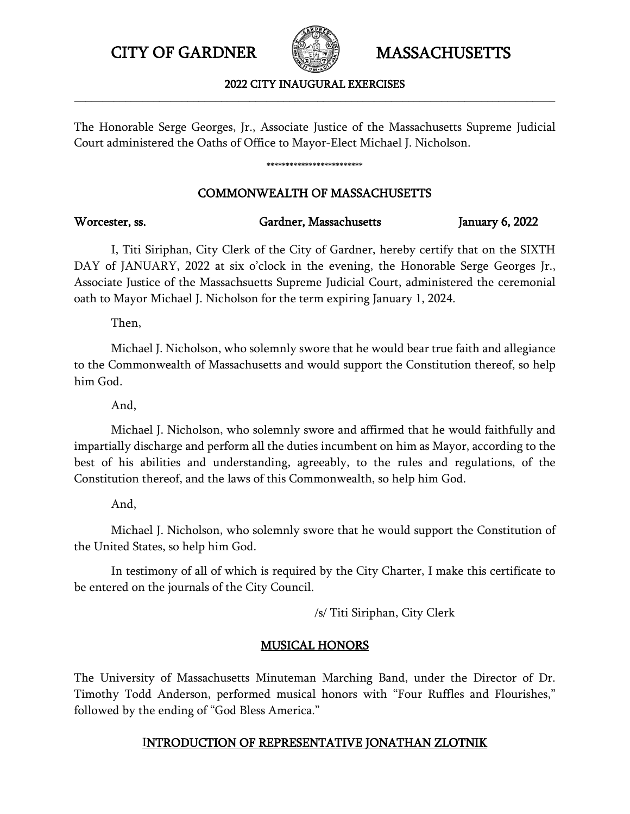

2022 CITY INAUGURAL EXERCISES **\_\_\_\_\_\_\_\_\_\_\_\_\_\_\_\_\_\_\_\_\_\_\_\_\_\_\_\_\_\_\_\_\_\_\_\_\_\_\_\_\_\_\_\_\_\_\_\_\_\_\_\_\_\_\_\_\_\_\_\_\_\_\_\_\_\_\_\_\_\_\_\_\_\_\_\_\_\_\_\_\_\_\_\_\_**

The Honorable Serge Georges, Jr., Associate Justice of the Massachusetts Supreme Judicial Court administered the Oaths of Office to Mayor-Elect Michael J. Nicholson.

### \*\*\*\*\*\*\*\*\*\*\*\*\*\*\*\*\*\*\*\*\*\*\*\*\*

## COMMONWEALTH OF MASSACHUSETTS

# I, Titi Siriphan, City Clerk of the City of Gardner, hereby certify that on the SIXTH DAY of JANUARY, 2022 at six o'clock in the evening, the Honorable Serge Georges Jr., Associate Justice of the Massachsuetts Supreme Judicial Court, administered the ceremonial oath to Mayor Michael J. Nicholson for the term expiring January 1, 2024.

Then,

Michael J. Nicholson, who solemnly swore that he would bear true faith and allegiance to the Commonwealth of Massachusetts and would support the Constitution thereof, so help him God.

And,

Michael J. Nicholson, who solemnly swore and affirmed that he would faithfully and impartially discharge and perform all the duties incumbent on him as Mayor, according to the best of his abilities and understanding, agreeably, to the rules and regulations, of the Constitution thereof, and the laws of this Commonwealth, so help him God.

And,

Michael J. Nicholson, who solemnly swore that he would support the Constitution of the United States, so help him God.

In testimony of all of which is required by the City Charter, I make this certificate to be entered on the journals of the City Council.

/s/ Titi Siriphan, City Clerk

# MUSICAL HONORS

The University of Massachusetts Minuteman Marching Band, under the Director of Dr. Timothy Todd Anderson, performed musical honors with "Four Ruffles and Flourishes," followed by the ending of "God Bless America."

# INTRODUCTION OF REPRESENTATIVE JONATHAN ZLOTNIK

### Worcester, ss. Gardner, Massachusetts January 6, 2022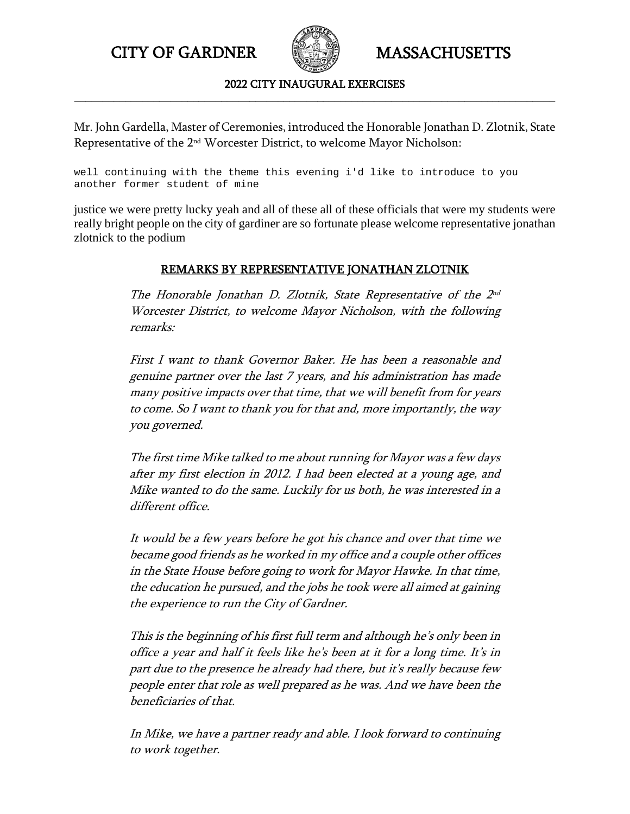

2022 CITY INAUGURAL EXERCISES **\_\_\_\_\_\_\_\_\_\_\_\_\_\_\_\_\_\_\_\_\_\_\_\_\_\_\_\_\_\_\_\_\_\_\_\_\_\_\_\_\_\_\_\_\_\_\_\_\_\_\_\_\_\_\_\_\_\_\_\_\_\_\_\_\_\_\_\_\_\_\_\_\_\_\_\_\_\_\_\_\_\_\_\_\_**

Mr. John Gardella, Master of Ceremonies, introduced the Honorable Jonathan D. Zlotnik, State Representative of the 2nd Worcester District, to welcome Mayor Nicholson:

well continuing with the theme this evening i'd like to introduce to you another former student of mine

justice we were pretty lucky yeah and all of these all of these officials that were my students were really bright people on the city of gardiner are so fortunate please welcome representative jonathan zlotnick to the podium

# REMARKS BY REPRESENTATIVE JONATHAN ZLOTNIK

The Honorable Jonathan D. Zlotnik, State Representative of the 2nd Worcester District, to welcome Mayor Nicholson, with the following remarks:

First I want to thank Governor Baker. He has been a reasonable and genuine partner over the last 7 years, and his administration has made many positive impacts over that time, that we will benefit from for years to come. So I want to thank you for that and, more importantly, the way you governed.

The first time Mike talked to me about running for Mayor was a few days after my first election in 2012. I had been elected at a young age, and Mike wanted to do the same. Luckily for us both, he was interested in a different office.

It would be a few years before he got his chance and over that time we became good friends as he worked in my office and a couple other offices in the State House before going to work for Mayor Hawke. In that time, the education he pursued, and the jobs he took were all aimed at gaining the experience to run the City of Gardner.

This is the beginning of his first full term and although he's only been in office a year and half it feels like he's been at it for a long time. It's in part due to the presence he already had there, but it's really because few people enter that role as well prepared as he was. And we have been the beneficiaries of that.

In Mike, we have a partner ready and able. I look forward to continuing to work together.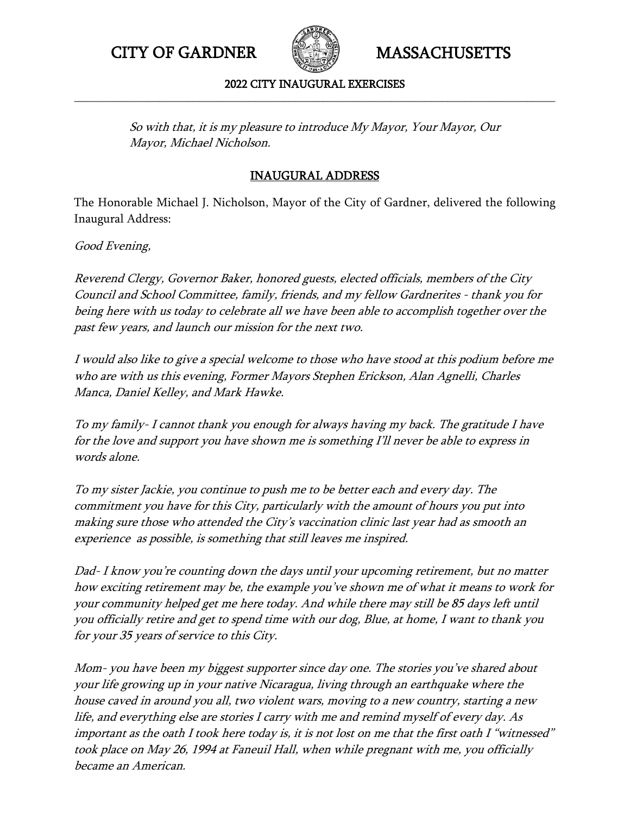

### 2022 CITY INAUGURAL EXERCISES **\_\_\_\_\_\_\_\_\_\_\_\_\_\_\_\_\_\_\_\_\_\_\_\_\_\_\_\_\_\_\_\_\_\_\_\_\_\_\_\_\_\_\_\_\_\_\_\_\_\_\_\_\_\_\_\_\_\_\_\_\_\_\_\_\_\_\_\_\_\_\_\_\_\_\_\_\_\_\_\_\_\_\_\_\_**

So with that, it is my pleasure to introduce My Mayor, Your Mayor, Our Mayor, Michael Nicholson.

# INAUGURAL ADDRESS

The Honorable Michael J. Nicholson, Mayor of the City of Gardner, delivered the following Inaugural Address:

Good Evening,

Reverend Clergy, Governor Baker, honored guests, elected officials, members of the City Council and School Committee, family, friends, and my fellow Gardnerites - thank you for being here with us today to celebrate all we have been able to accomplish together over the past few years, and launch our mission for the next two.

I would also like to give a special welcome to those who have stood at this podium before me who are with us this evening, Former Mayors Stephen Erickson, Alan Agnelli, Charles Manca, Daniel Kelley, and Mark Hawke.

To my family- I cannot thank you enough for always having my back. The gratitude I have for the love and support you have shown me is something I'll never be able to express in words alone.

To my sister Jackie, you continue to push me to be better each and every day. The commitment you have for this City, particularly with the amount of hours you put into making sure those who attended the City's vaccination clinic last year had as smooth an experience as possible, is something that still leaves me inspired.

Dad- I know you're counting down the days until your upcoming retirement, but no matter how exciting retirement may be, the example you've shown me of what it means to work for your community helped get me here today. And while there may still be 85 days left until you officially retire and get to spend time with our dog, Blue, at home, I want to thank you for your 35 years of service to this City.

Mom- you have been my biggest supporter since day one. The stories you've shared about your life growing up in your native Nicaragua, living through an earthquake where the house caved in around you all, two violent wars, moving to a new country, starting a new life, and everything else are stories I carry with me and remind myself of every day. As important as the oath I took here today is, it is not lost on me that the first oath I "witnessed" took place on May 26, 1994 at Faneuil Hall, when while pregnant with me, you officially became an American.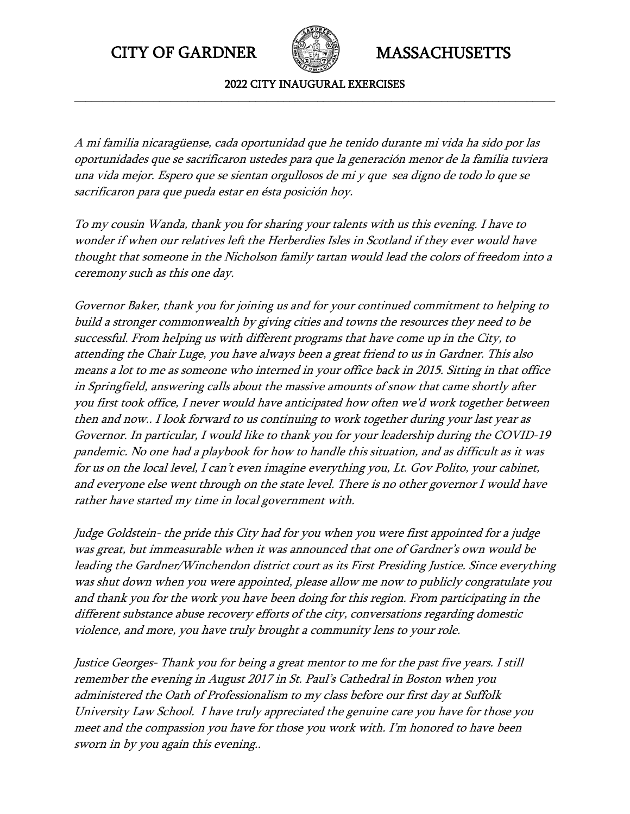

2022 CITY INAUGURAL EXERCISES **\_\_\_\_\_\_\_\_\_\_\_\_\_\_\_\_\_\_\_\_\_\_\_\_\_\_\_\_\_\_\_\_\_\_\_\_\_\_\_\_\_\_\_\_\_\_\_\_\_\_\_\_\_\_\_\_\_\_\_\_\_\_\_\_\_\_\_\_\_\_\_\_\_\_\_\_\_\_\_\_\_\_\_\_\_**

A mi familia nicaragüense, cada oportunidad que he tenido durante mi vida ha sido por las oportunidades que se sacrificaron ustedes para que la generación menor de la familia tuviera una vida mejor. Espero que se sientan orgullosos de mi y que sea digno de todo lo que se sacrificaron para que pueda estar en ésta posición hoy.

To my cousin Wanda, thank you for sharing your talents with us this evening. I have to wonder if when our relatives left the Herberdies Isles in Scotland if they ever would have thought that someone in the Nicholson family tartan would lead the colors of freedom into a ceremony such as this one day.

Governor Baker, thank you for joining us and for your continued commitment to helping to build a stronger commonwealth by giving cities and towns the resources they need to be successful. From helping us with different programs that have come up in the City, to attending the Chair Luge, you have always been a great friend to us in Gardner. This also means a lot to me as someone who interned in your office back in 2015. Sitting in that office in Springfield, answering calls about the massive amounts of snow that came shortly after you first took office, I never would have anticipated how often we'd work together between then and now.. I look forward to us continuing to work together during your last year as Governor. In particular, I would like to thank you for your leadership during the COVID-19 pandemic. No one had a playbook for how to handle this situation, and as difficult as it was for us on the local level, I can't even imagine everything you, Lt. Gov Polito, your cabinet, and everyone else went through on the state level. There is no other governor I would have rather have started my time in local government with.

Judge Goldstein- the pride this City had for you when you were first appointed for a judge was great, but immeasurable when it was announced that one of Gardner's own would be leading the Gardner/Winchendon district court as its First Presiding Justice. Since everything was shut down when you were appointed, please allow me now to publicly congratulate you and thank you for the work you have been doing for this region. From participating in the different substance abuse recovery efforts of the city, conversations regarding domestic violence, and more, you have truly brought a community lens to your role.

Justice Georges- Thank you for being a great mentor to me for the past five years. I still remember the evening in August 2017 in St. Paul's Cathedral in Boston when you administered the Oath of Professionalism to my class before our first day at Suffolk University Law School. I have truly appreciated the genuine care you have for those you meet and the compassion you have for those you work with. I'm honored to have been sworn in by you again this evening..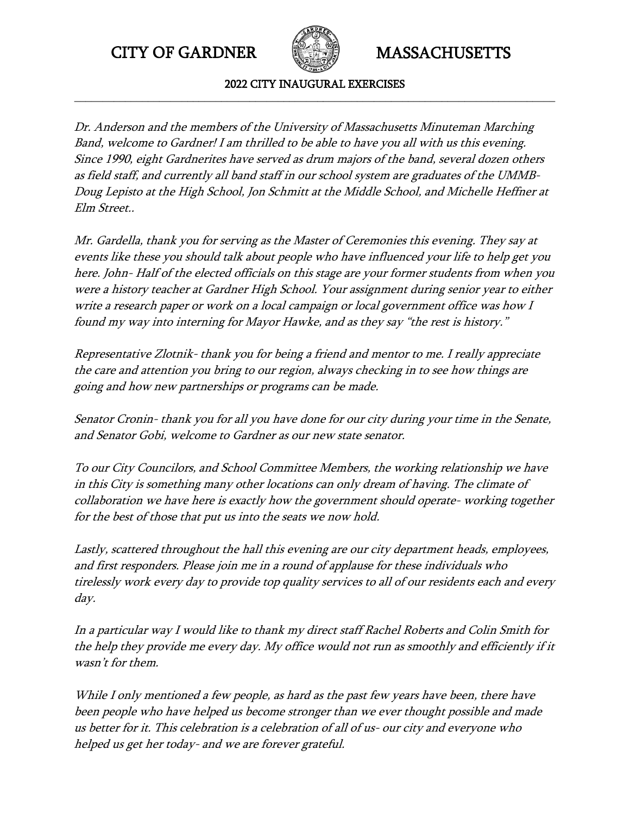

2022 CITY INAUGURAL EXERCISES **\_\_\_\_\_\_\_\_\_\_\_\_\_\_\_\_\_\_\_\_\_\_\_\_\_\_\_\_\_\_\_\_\_\_\_\_\_\_\_\_\_\_\_\_\_\_\_\_\_\_\_\_\_\_\_\_\_\_\_\_\_\_\_\_\_\_\_\_\_\_\_\_\_\_\_\_\_\_\_\_\_\_\_\_\_**

Dr. Anderson and the members of the University of Massachusetts Minuteman Marching Band, welcome to Gardner! I am thrilled to be able to have you all with us this evening. Since 1990, eight Gardnerites have served as drum majors of the band, several dozen others as field staff, and currently all band staff in our school system are graduates of the UMMB-Doug Lepisto at the High School, Jon Schmitt at the Middle School, and Michelle Heffner at Elm Street..

Mr. Gardella, thank you for serving as the Master of Ceremonies this evening. They say at events like these you should talk about people who have influenced your life to help get you here. John- Half of the elected officials on this stage are your former students from when you were a history teacher at Gardner High School. Your assignment during senior year to either write a research paper or work on a local campaign or local government office was how I found my way into interning for Mayor Hawke, and as they say "the rest is history."

Representative Zlotnik- thank you for being a friend and mentor to me. I really appreciate the care and attention you bring to our region, always checking in to see how things are going and how new partnerships or programs can be made.

Senator Cronin- thank you for all you have done for our city during your time in the Senate, and Senator Gobi, welcome to Gardner as our new state senator.

To our City Councilors, and School Committee Members, the working relationship we have in this City is something many other locations can only dream of having. The climate of collaboration we have here is exactly how the government should operate- working together for the best of those that put us into the seats we now hold.

Lastly, scattered throughout the hall this evening are our city department heads, employees, and first responders. Please join me in a round of applause for these individuals who tirelessly work every day to provide top quality services to all of our residents each and every day.

In a particular way I would like to thank my direct staff Rachel Roberts and Colin Smith for the help they provide me every day. My office would not run as smoothly and efficiently if it wasn't for them.

While I only mentioned a few people, as hard as the past few years have been, there have been people who have helped us become stronger than we ever thought possible and made us better for it. This celebration is a celebration of all of us- our city and everyone who helped us get her today- and we are forever grateful.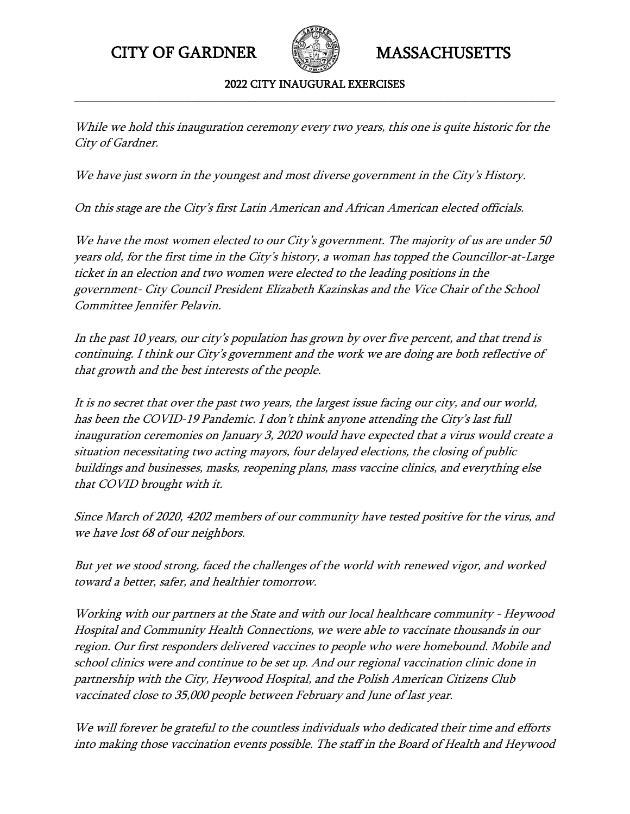

2022 CITY INAUGURAL EXERCISES **\_\_\_\_\_\_\_\_\_\_\_\_\_\_\_\_\_\_\_\_\_\_\_\_\_\_\_\_\_\_\_\_\_\_\_\_\_\_\_\_\_\_\_\_\_\_\_\_\_\_\_\_\_\_\_\_\_\_\_\_\_\_\_\_\_\_\_\_\_\_\_\_\_\_\_\_\_\_\_\_\_\_\_\_\_**

While we hold this inauguration ceremony every two years, this one is quite historic for the City of Gardner.

We have just sworn in the youngest and most diverse government in the City's History.

On this stage are the City's first Latin American and African American elected officials.

We have the most women elected to our City's government. The majority of us are under 50 years old, for the first time in the City's history, a woman has topped the Councillor-at-Large ticket in an election and two women were elected to the leading positions in the government- City Council President Elizabeth Kazinskas and the Vice Chair of the School Committee Jennifer Pelavin.

In the past 10 years, our city's population has grown by over five percent, and that trend is continuing. I think our City's government and the work we are doing are both reflective of that growth and the best interests of the people.

It is no secret that over the past two years, the largest issue facing our city, and our world, has been the COVID-19 Pandemic. I don't think anyone attending the City's last full inauguration ceremonies on January 3, 2020 would have expected that a virus would create a situation necessitating two acting mayors, four delayed elections, the closing of public buildings and businesses, masks, reopening plans, mass vaccine clinics, and everything else that COVID brought with it.

Since March of 2020, 4202 members of our community have tested positive for the virus, and we have lost 68 of our neighbors.

But yet we stood strong, faced the challenges of the world with renewed vigor, and worked toward a better, safer, and healthier tomorrow.

Working with our partners at the State and with our local healthcare community - Heywood Hospital and Community Health Connections, we were able to vaccinate thousands in our region. Our first responders delivered vaccines to people who were homebound. Mobile and school clinics were and continue to be set up. And our regional vaccination clinic done in partnership with the City, Heywood Hospital, and the Polish American Citizens Club vaccinated close to 35,000 people between February and June of last year.

We will forever be grateful to the countless individuals who dedicated their time and efforts into making those vaccination events possible. The staff in the Board of Health and Heywood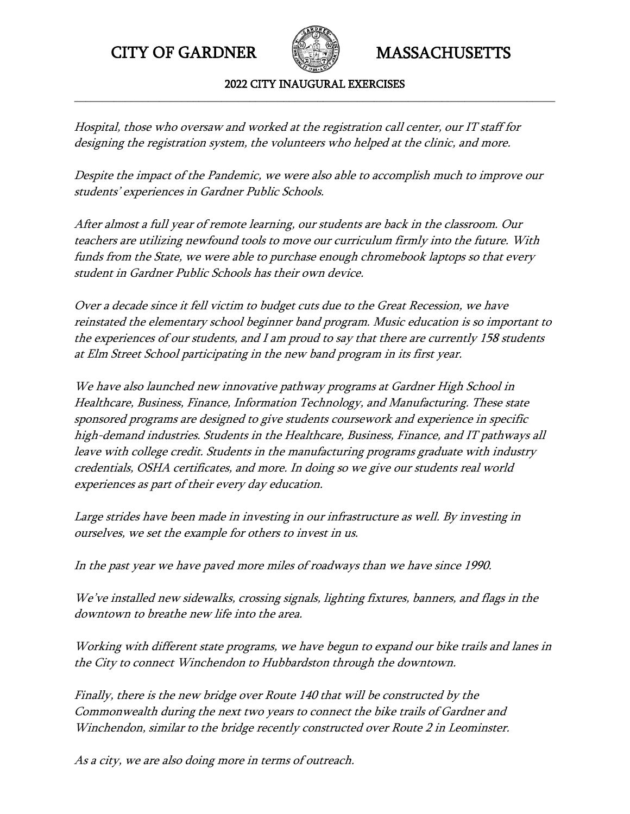

2022 CITY INAUGURAL EXERCISES **\_\_\_\_\_\_\_\_\_\_\_\_\_\_\_\_\_\_\_\_\_\_\_\_\_\_\_\_\_\_\_\_\_\_\_\_\_\_\_\_\_\_\_\_\_\_\_\_\_\_\_\_\_\_\_\_\_\_\_\_\_\_\_\_\_\_\_\_\_\_\_\_\_\_\_\_\_\_\_\_\_\_\_\_\_**

Hospital, those who oversaw and worked at the registration call center, our IT staff for designing the registration system, the volunteers who helped at the clinic, and more.

Despite the impact of the Pandemic, we were also able to accomplish much to improve our students' experiences in Gardner Public Schools.

After almost a full year of remote learning, our students are back in the classroom. Our teachers are utilizing newfound tools to move our curriculum firmly into the future. With funds from the State, we were able to purchase enough chromebook laptops so that every student in Gardner Public Schools has their own device.

Over a decade since it fell victim to budget cuts due to the Great Recession, we have reinstated the elementary school beginner band program. Music education is so important to the experiences of our students, and I am proud to say that there are currently 158 students at Elm Street School participating in the new band program in its first year.

We have also launched new innovative pathway programs at Gardner High School in Healthcare, Business, Finance, Information Technology, and Manufacturing. These state sponsored programs are designed to give students coursework and experience in specific high-demand industries. Students in the Healthcare, Business, Finance, and IT pathways all leave with college credit. Students in the manufacturing programs graduate with industry credentials, OSHA certificates, and more. In doing so we give our students real world experiences as part of their every day education.

Large strides have been made in investing in our infrastructure as well. By investing in ourselves, we set the example for others to invest in us.

In the past year we have paved more miles of roadways than we have since 1990.

We've installed new sidewalks, crossing signals, lighting fixtures, banners, and flags in the downtown to breathe new life into the area.

Working with different state programs, we have begun to expand our bike trails and lanes in the City to connect Winchendon to Hubbardston through the downtown.

Finally, there is the new bridge over Route 140 that will be constructed by the Commonwealth during the next two years to connect the bike trails of Gardner and Winchendon, similar to the bridge recently constructed over Route 2 in Leominster.

As a city, we are also doing more in terms of outreach.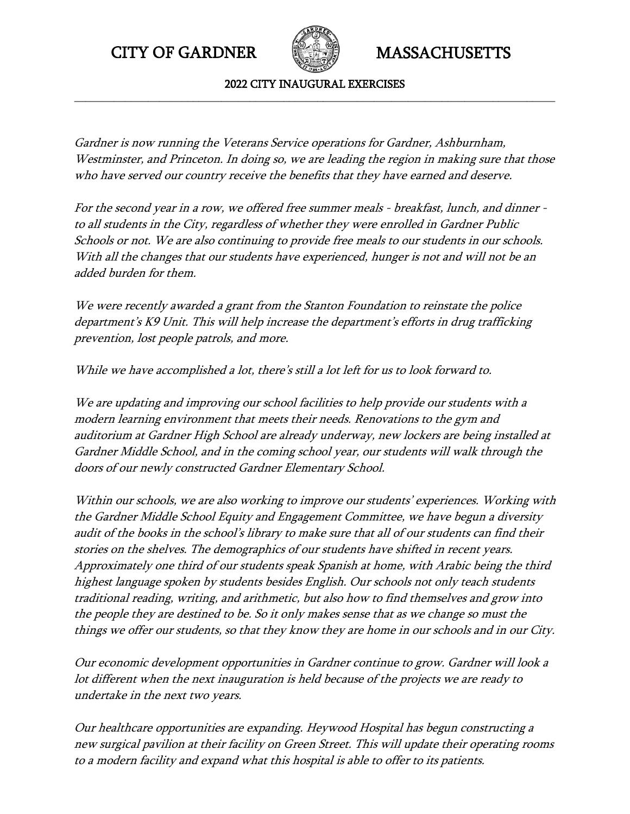

2022 CITY INAUGURAL EXERCISES **\_\_\_\_\_\_\_\_\_\_\_\_\_\_\_\_\_\_\_\_\_\_\_\_\_\_\_\_\_\_\_\_\_\_\_\_\_\_\_\_\_\_\_\_\_\_\_\_\_\_\_\_\_\_\_\_\_\_\_\_\_\_\_\_\_\_\_\_\_\_\_\_\_\_\_\_\_\_\_\_\_\_\_\_\_**

Gardner is now running the Veterans Service operations for Gardner, Ashburnham, Westminster, and Princeton. In doing so, we are leading the region in making sure that those who have served our country receive the benefits that they have earned and deserve.

For the second year in a row, we offered free summer meals - breakfast, lunch, and dinner to all students in the City, regardless of whether they were enrolled in Gardner Public Schools or not. We are also continuing to provide free meals to our students in our schools. With all the changes that our students have experienced, hunger is not and will not be an added burden for them.

We were recently awarded a grant from the Stanton Foundation to reinstate the police department's K9 Unit. This will help increase the department's efforts in drug trafficking prevention, lost people patrols, and more.

While we have accomplished a lot, there's still a lot left for us to look forward to.

We are updating and improving our school facilities to help provide our students with a modern learning environment that meets their needs. Renovations to the gym and auditorium at Gardner High School are already underway, new lockers are being installed at Gardner Middle School, and in the coming school year, our students will walk through the doors of our newly constructed Gardner Elementary School.

Within our schools, we are also working to improve our students' experiences. Working with the Gardner Middle School Equity and Engagement Committee, we have begun a diversity audit of the books in the school's library to make sure that all of our students can find their stories on the shelves. The demographics of our students have shifted in recent years. Approximately one third of our students speak Spanish at home, with Arabic being the third highest language spoken by students besides English. Our schools not only teach students traditional reading, writing, and arithmetic, but also how to find themselves and grow into the people they are destined to be. So it only makes sense that as we change so must the things we offer our students, so that they know they are home in our schools and in our City.

Our economic development opportunities in Gardner continue to grow. Gardner will look a lot different when the next inauguration is held because of the projects we are ready to undertake in the next two years.

Our healthcare opportunities are expanding. Heywood Hospital has begun constructing a new surgical pavilion at their facility on Green Street. This will update their operating rooms to a modern facility and expand what this hospital is able to offer to its patients.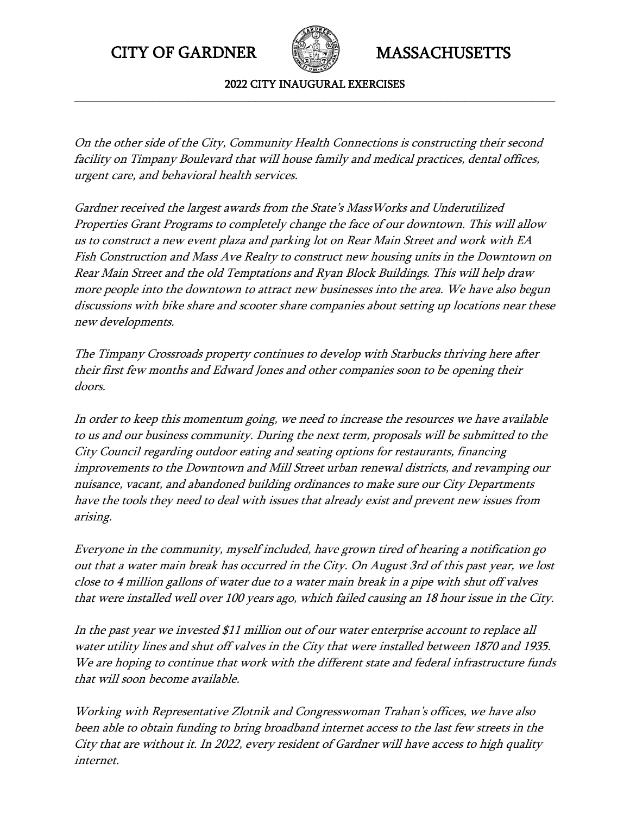

2022 CITY INAUGURAL EXERCISES **\_\_\_\_\_\_\_\_\_\_\_\_\_\_\_\_\_\_\_\_\_\_\_\_\_\_\_\_\_\_\_\_\_\_\_\_\_\_\_\_\_\_\_\_\_\_\_\_\_\_\_\_\_\_\_\_\_\_\_\_\_\_\_\_\_\_\_\_\_\_\_\_\_\_\_\_\_\_\_\_\_\_\_\_\_**

On the other side of the City, Community Health Connections is constructing their second facility on Timpany Boulevard that will house family and medical practices, dental offices, urgent care, and behavioral health services.

Gardner received the largest awards from the State's MassWorks and Underutilized Properties Grant Programs to completely change the face of our downtown. This will allow us to construct a new event plaza and parking lot on Rear Main Street and work with EA Fish Construction and Mass Ave Realty to construct new housing units in the Downtown on Rear Main Street and the old Temptations and Ryan Block Buildings. This will help draw more people into the downtown to attract new businesses into the area. We have also begun discussions with bike share and scooter share companies about setting up locations near these new developments.

The Timpany Crossroads property continues to develop with Starbucks thriving here after their first few months and Edward Jones and other companies soon to be opening their doors.

In order to keep this momentum going, we need to increase the resources we have available to us and our business community. During the next term, proposals will be submitted to the City Council regarding outdoor eating and seating options for restaurants, financing improvements to the Downtown and Mill Street urban renewal districts, and revamping our nuisance, vacant, and abandoned building ordinances to make sure our City Departments have the tools they need to deal with issues that already exist and prevent new issues from arising.

Everyone in the community, myself included, have grown tired of hearing a notification go out that a water main break has occurred in the City. On August 3rd of this past year, we lost close to 4 million gallons of water due to a water main break in a pipe with shut off valves that were installed well over 100 years ago, which failed causing an 18 hour issue in the City.

In the past year we invested \$11 million out of our water enterprise account to replace all water utility lines and shut off valves in the City that were installed between 1870 and 1935. We are hoping to continue that work with the different state and federal infrastructure funds that will soon become available.

Working with Representative Zlotnik and Congresswoman Trahan's offices, we have also been able to obtain funding to bring broadband internet access to the last few streets in the City that are without it. In 2022, every resident of Gardner will have access to high quality internet.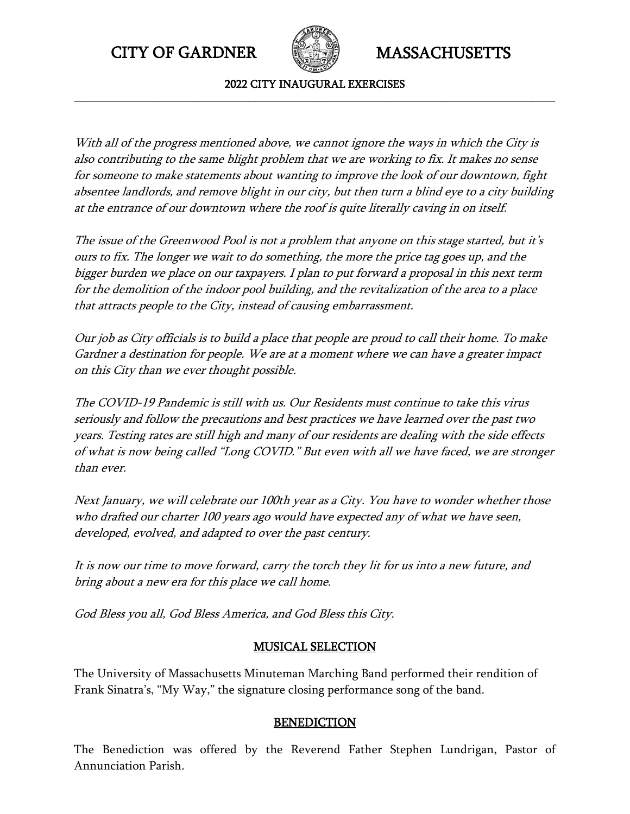

2022 CITY INAUGURAL EXERCISES **\_\_\_\_\_\_\_\_\_\_\_\_\_\_\_\_\_\_\_\_\_\_\_\_\_\_\_\_\_\_\_\_\_\_\_\_\_\_\_\_\_\_\_\_\_\_\_\_\_\_\_\_\_\_\_\_\_\_\_\_\_\_\_\_\_\_\_\_\_\_\_\_\_\_\_\_\_\_\_\_\_\_\_\_\_**

With all of the progress mentioned above, we cannot ignore the ways in which the City is also contributing to the same blight problem that we are working to fix. It makes no sense for someone to make statements about wanting to improve the look of our downtown, fight absentee landlords, and remove blight in our city, but then turn a blind eye to a city building at the entrance of our downtown where the roof is quite literally caving in on itself.

The issue of the Greenwood Pool is not a problem that anyone on this stage started, but it's ours to fix. The longer we wait to do something, the more the price tag goes up, and the bigger burden we place on our taxpayers. I plan to put forward a proposal in this next term for the demolition of the indoor pool building, and the revitalization of the area to a place that attracts people to the City, instead of causing embarrassment.

Our job as City officials is to build a place that people are proud to call their home. To make Gardner a destination for people. We are at a moment where we can have a greater impact on this City than we ever thought possible.

The COVID-19 Pandemic is still with us. Our Residents must continue to take this virus seriously and follow the precautions and best practices we have learned over the past two years. Testing rates are still high and many of our residents are dealing with the side effects of what is now being called "Long COVID." But even with all we have faced, we are stronger than ever.

Next January, we will celebrate our 100th year as a City. You have to wonder whether those who drafted our charter 100 years ago would have expected any of what we have seen, developed, evolved, and adapted to over the past century.

It is now our time to move forward, carry the torch they lit for us into a new future, and bring about a new era for this place we call home.

God Bless you all, God Bless America, and God Bless this City.

## MUSICAL SELECTION

The University of Massachusetts Minuteman Marching Band performed their rendition of Frank Sinatra's, "My Way," the signature closing performance song of the band.

## **BENEDICTION**

The Benediction was offered by the Reverend Father Stephen Lundrigan, Pastor of Annunciation Parish.